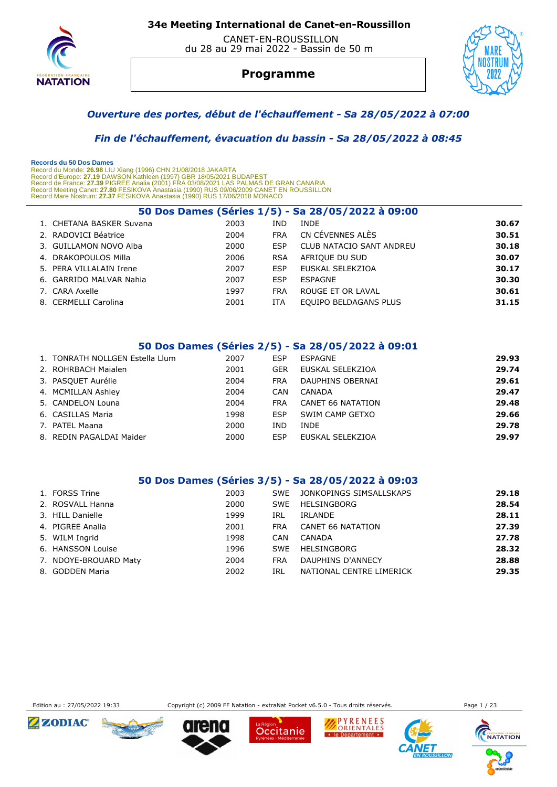

 CANET-EN-ROUSSILLON du 28 au 29 mai 2022 - Bassin de 50 m



#### **Programme**



#### *Ouverture des portes, début de l'échauffement - Sa 28/05/2022 à 07:00*

 *Fin de l'échauffement, évacuation du bassin - Sa 28/05/2022 à 08:45* 

| Records du 50 Dos Dames<br>Record du Monde: 26.98 LIU Xiang (1996) CHN 21/08/2018 JAKARTA<br>Record d'Europe: 27.19 DAWSON Kathleen (1997) GBR 18/05/2021 BUDAPEST<br>Record de France: 27.39 PIGREE Analia (2001) FRA 03/08/2021 LAS PALMAS DE GRAN CANARIA<br>Record Meeting Canet: 27.80 FESIKOVA Anastasia (1990) RUS 09/06/2009 CANET EN ROUSSILLON<br>Record Mare Nostrum: 27.37 FESIKOVA Anastasia (1990) RUS 17/06/2018 MONACO |                          |      |            |                                                   |       |  |  |  |
|----------------------------------------------------------------------------------------------------------------------------------------------------------------------------------------------------------------------------------------------------------------------------------------------------------------------------------------------------------------------------------------------------------------------------------------|--------------------------|------|------------|---------------------------------------------------|-------|--|--|--|
|                                                                                                                                                                                                                                                                                                                                                                                                                                        |                          |      |            | 50 Dos Dames (Séries 1/5) - Sa 28/05/2022 à 09:00 |       |  |  |  |
|                                                                                                                                                                                                                                                                                                                                                                                                                                        | 1. CHETANA BASKER Suvana | 2003 | <b>IND</b> | <b>INDE</b>                                       | 30.67 |  |  |  |
|                                                                                                                                                                                                                                                                                                                                                                                                                                        | 2. RADOVICI Béatrice     | 2004 | <b>FRA</b> | CN CÉVENNES ALÈS                                  | 30.51 |  |  |  |
|                                                                                                                                                                                                                                                                                                                                                                                                                                        | 3. GUILLAMON NOVO Alba   | 2000 | <b>ESP</b> | <b>CLUB NATACIO SANT ANDREU</b>                   | 30.18 |  |  |  |
|                                                                                                                                                                                                                                                                                                                                                                                                                                        | 4. DRAKOPOULOS Milla     | 2006 | <b>RSA</b> | AFRIOUE DU SUD                                    | 30.07 |  |  |  |
|                                                                                                                                                                                                                                                                                                                                                                                                                                        | 5. PERA VILLALAIN Irene  | 2007 | <b>ESP</b> | EUSKAL SELEKZIOA                                  | 30.17 |  |  |  |
|                                                                                                                                                                                                                                                                                                                                                                                                                                        | 6. GARRIDO MALVAR Nahia  | 2007 | <b>ESP</b> | <b>ESPAGNE</b>                                    | 30.30 |  |  |  |
|                                                                                                                                                                                                                                                                                                                                                                                                                                        | 7. CARA Axelle           | 1997 | <b>FRA</b> | ROUGE ET OR LAVAL                                 | 30.61 |  |  |  |
|                                                                                                                                                                                                                                                                                                                                                                                                                                        | 8. CERMELLI Carolina     | 2001 | ITA        | EOUIPO BELDAGANS PLUS                             | 31.15 |  |  |  |

#### **50 Dos Dames (Séries 2/5) - Sa 28/05/2022 à 09:01**

| 1. TONRATH NOLLGEN Estella Llum | 2007 | ESP        | ESPAGNE                  | 29.93 |
|---------------------------------|------|------------|--------------------------|-------|
| 2. ROHRBACH Maialen             | 2001 | <b>GER</b> | EUSKAL SELEKZIOA         | 29.74 |
| 3. PASQUET Aurélie              | 2004 | <b>FRA</b> | DAUPHINS OBERNAI         | 29.61 |
| 4. MCMILLAN Ashley              | 2004 | CAN        | CANADA                   | 29.47 |
| 5. CANDELON Louna               | 2004 | <b>FRA</b> | <b>CANET 66 NATATION</b> | 29.48 |
| 6. CASILLAS Maria               | 1998 | ESP        | SWIM CAMP GETXO          | 29.66 |
| 7. PATEL Maana                  | 2000 | IND        | <b>INDE</b>              | 29.78 |
| 8. REDIN PAGALDAI Maider        | 2000 | ESP        | EUSKAL SELEKZIOA         | 29.97 |

#### **50 Dos Dames (Séries 3/5) - Sa 28/05/2022 à 09:03**

| 1. FORSS Trine        | 2003 | SWE        | JONKOPINGS SIMSALLSKAPS  | 29.18 |
|-----------------------|------|------------|--------------------------|-------|
| 2. ROSVALL Hanna      | 2000 | <b>SWE</b> | HELSINGBORG              | 28.54 |
| 3. HILL Danielle      | 1999 | IRL        | <b>IRLANDE</b>           | 28.11 |
| 4. PIGREE Analia      | 2001 | <b>FRA</b> | CANET 66 NATATION        | 27.39 |
| 5. WILM Ingrid        | 1998 | CAN        | CANADA                   | 27.78 |
| 6. HANSSON Louise     | 1996 | SWE        | HELSINGBORG              | 28.32 |
| 7. NDOYE-BROUARD Maty | 2004 | <b>FRA</b> | DAUPHINS D'ANNECY        | 28.88 |
| 8. GODDEN Maria       | 2002 | IRL        | NATIONAL CENTRE LIMERICK | 29.35 |
|                       |      |            |                          |       |



Edition au : 27/05/2022 19:33 Copyright (c) 2009 FF Natation - extraNat Pocket v6.5.0 - Tous droits réservés. Page 1 / 23

Occitanie

PYRENEES

Le Département

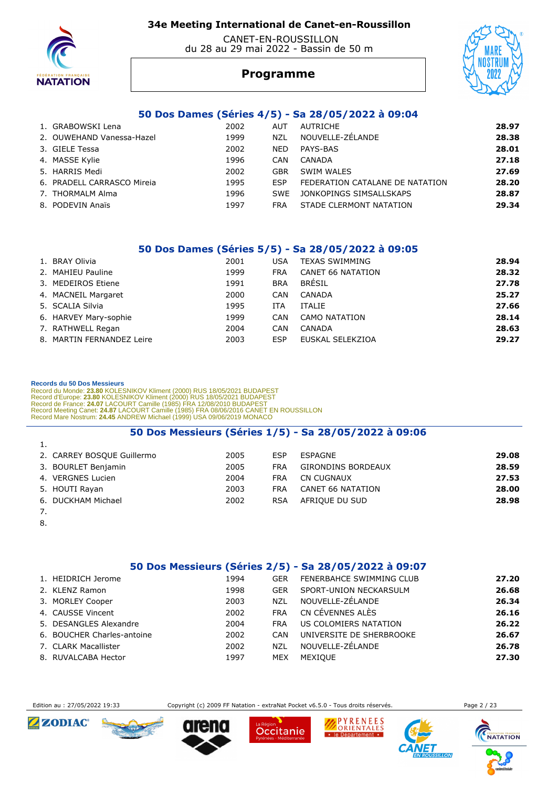

 CANET-EN-ROUSSILLON du 28 au 29 mai 2022 - Bassin de 50 m

# **Programme**



#### **50 Dos Dames (Séries 4/5) - Sa 28/05/2022 à 09:04**

| 1. GRABOWSKI Lena          | 2002 | <b>AUT</b> | AUTRICHE                        | 28.97 |
|----------------------------|------|------------|---------------------------------|-------|
| 2. OUWEHAND Vanessa-Hazel  | 1999 | <b>NZL</b> | NOUVELLE-ZÉLANDE                | 28.38 |
| 3. GIELE Tessa             | 2002 | <b>NED</b> | PAYS-BAS                        | 28.01 |
| 4. MASSE Kylie             | 1996 | CAN        | CANADA                          | 27.18 |
| 5. HARRIS Medi             | 2002 | GBR        | SWIM WALES                      | 27.69 |
| 6. PRADELL CARRASCO Mireia | 1995 | <b>ESP</b> | FEDERATION CATALANE DE NATATION | 28.20 |
| 7. THORMALM Alma           | 1996 | <b>SWE</b> | JONKOPINGS SIMSALLSKAPS         | 28.87 |
| 8. PODEVIN Anaïs           | 1997 | FRA        | STADE CLERMONT NATATION         | 29.34 |

#### **50 Dos Dames (Séries 5/5) - Sa 28/05/2022 à 09:05**

| 1. BRAY Olivia            | 2001 | USA        | <b>TEXAS SWIMMING</b>    | 28.94 |
|---------------------------|------|------------|--------------------------|-------|
| 2. MAHIEU Pauline         | 1999 | <b>FRA</b> | <b>CANET 66 NATATION</b> | 28.32 |
| 3. MEDEIROS Etiene        | 1991 | <b>BRA</b> | BRÉSIL                   | 27.78 |
| 4. MACNEIL Margaret       | 2000 | <b>CAN</b> | CANADA                   | 25.27 |
| 5. SCALIA Silvia          | 1995 | ITA        | <b>ITALIE</b>            | 27.66 |
| 6. HARVEY Mary-sophie     | 1999 | CAN        | CAMO NATATION            | 28.14 |
| 7. RATHWELL Regan         | 2004 | CAN        | CANADA                   | 28.63 |
| 8. MARTIN FERNANDEZ Leire | 2003 | ESP        | EUSKAL SELEKZIOA         | 29.27 |

#### **Records du 50 Dos Messieurs**

Record du Monde: 23.80 KOLESNIKOV Kliment (2000) RUS 18/05/2021 BUDAPEST<br>Record d'Europe: 23.80 KOLESNIKOV Kliment (2000) RUS 18/05/2021 BUDAPEST<br>Record de France: 24.07 LACOURT Camille (1985) FRA 12/08/2010 BUDAPEST<br>Recor

#### **50 Dos Messieurs (Séries 1/5) - Sa 28/05/2022 à 09:06**

| 2. CARREY BOSQUE Guillermo | 2005 | ESP        | ESPAGNE                   | 29.08 |
|----------------------------|------|------------|---------------------------|-------|
| 3. BOURLET Benjamin        | 2005 | FRA        | <b>GIRONDINS BORDEAUX</b> | 28.59 |
| 4. VERGNES Lucien          | 2004 | <b>FRA</b> | CN CUGNAUX                | 27.53 |
| 5. HOUTI Rayan             | 2003 | <b>FRA</b> | CANET 66 NATATION         | 28.00 |
| 6. DUCKHAM Michael         | 2002 | <b>RSA</b> | AFRIQUE DU SUD            | 28.98 |
|                            |      |            |                           |       |

- 7.
- 8.

#### **50 Dos Messieurs (Séries 2/5) - Sa 28/05/2022 à 09:07**

| 1. HEIDRICH Jerome         | 1994 | <b>GER</b> | FENERBAHCE SWIMMING CLUB | 27.20 |
|----------------------------|------|------------|--------------------------|-------|
| 2. KLENZ Ramon             | 1998 | <b>GER</b> | SPORT-UNION NECKARSULM   | 26.68 |
| 3. MORLEY Cooper           | 2003 | <b>NZL</b> | NOUVELLE-ZÉLANDE         | 26.34 |
| 4. CAUSSE Vincent          | 2002 | <b>FRA</b> | CN CÉVENNES ALÈS         | 26.16 |
| 5. DESANGLES Alexandre     | 2004 | <b>FRA</b> | US COLOMIERS NATATION    | 26.22 |
| 6. BOUCHER Charles-antoine | 2002 | CAN        | UNIVERSITE DE SHERBROOKE | 26.67 |
| 7. CLARK Macallister       | 2002 | NZL        | NOUVELLE-ZÉLANDE         | 26.78 |
| 8. RUVALCABA Hector        | 1997 | MEX        | MEXIOUE                  | 27.30 |

Edition au : 27/05/2022 19:33 Copyright (c) 2009 FF Natation - extraNat Pocket v6.5.0 - Tous droits réservés. Page 2 / 23













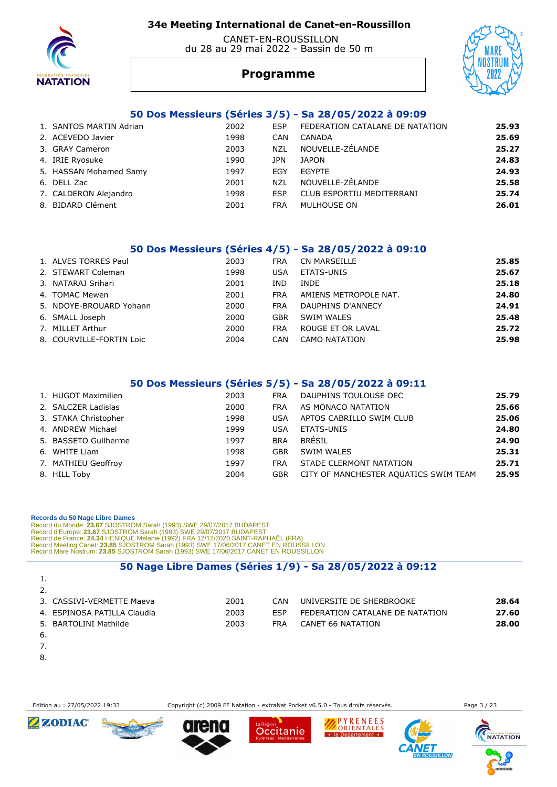

 CANET-EN-ROUSSILLON du 28 au 29 mai 2022 - Bassin de 50 m



JS I KUI

# **Programme**

#### **50 Dos Messieurs (Séries 3/5) - Sa 28/05/2022 à 09:09**

| 1. SANTOS MARTIN Adrian | 2002 | <b>ESP</b> | FEDERATION CATALANE DE NATATION | 25.93 |
|-------------------------|------|------------|---------------------------------|-------|
| 2. ACEVEDO Javier       | 1998 | CAN        | CANADA                          | 25.69 |
| 3. GRAY Cameron         | 2003 | <b>NZL</b> | NOUVELLE-ZÉLANDE                | 25.27 |
| 4. IRIE Ryosuke         | 1990 | JPN        | <b>JAPON</b>                    | 24.83 |
| 5. HASSAN Mohamed Samy  | 1997 | EGY        | EGYPTE                          | 24.93 |
| 6. DELL Zac             | 2001 | <b>NZL</b> | NOUVELLE-ZÉLANDE                | 25.58 |
| 7. CALDERON Alejandro   | 1998 | <b>ESP</b> | CLUB ESPORTIU MEDITERRANI       | 25.74 |
| 8. BIDARD Clément       | 2001 | <b>FRA</b> | MULHOUSE ON                     | 26.01 |
|                         |      |            |                                 |       |

#### **50 Dos Messieurs (Séries 4/5) - Sa 28/05/2022 à 09:10**

| 1. ALVES TORRES Paul     | 2003 | <b>FRA</b> | CN MARSEILLE          | 25.85 |
|--------------------------|------|------------|-----------------------|-------|
| 2. STEWART Coleman       | 1998 | USA        | ETATS-UNIS            | 25.67 |
| 3. NATARAJ Srihari       | 2001 | IND        | <b>INDE</b>           | 25.18 |
| 4. TOMAC Mewen           | 2001 | <b>FRA</b> | AMIENS METROPOLE NAT. | 24.80 |
| 5. NDOYE-BROUARD Yohann  | 2000 | <b>FRA</b> | DAUPHINS D'ANNECY     | 24.91 |
| 6. SMALL Joseph          | 2000 | <b>GBR</b> | SWIM WALES            | 25.48 |
| 7. MILLET Arthur         | 2000 | <b>FRA</b> | ROUGE ET OR LAVAL     | 25.72 |
| 8. COURVILLE-FORTIN Loic | 2004 | CAN        | CAMO NATATION         | 25.98 |

#### **50 Dos Messieurs (Séries 5/5) - Sa 28/05/2022 à 09:11**

| 1. HUGOT Maximilien  | 2003 | <b>FRA</b> | DAUPHINS TOULOUSE OEC                 | 25.79 |
|----------------------|------|------------|---------------------------------------|-------|
| 2. SALCZER Ladislas  | 2000 | <b>FRA</b> | AS MONACO NATATION                    | 25.66 |
| 3. STAKA Christopher | 1998 | <b>USA</b> | APTOS CABRILLO SWIM CLUB              | 25.06 |
| 4. ANDREW Michael    | 1999 | <b>USA</b> | ETATS-UNIS                            | 24.80 |
| 5. BASSETO Guilherme | 1997 | <b>BRA</b> | BRÉSIL                                | 24.90 |
| 6. WHITE Liam        | 1998 | GBR        | SWIM WALES                            | 25.31 |
| 7. MATHIEU Geoffroy  | 1997 | <b>FRA</b> | STADE CLERMONT NATATION               | 25.71 |
| 8. HILL Toby         | 2004 | <b>GBR</b> | CITY OF MANCHESTER AQUATICS SWIM TEAM | 25.95 |

 **Records du 50 Nage Libre Dames** 

Record du Monde: 23.67 SJOSTROM Sarah (1993) SWE 29/07/2017 BUDAPEST<br>Record d'Europe: 23.67 SJOSTROM Sarah (1993) SWE 29/07/2017 BUDAPEST<br>Record de France: 24.34 HENIQUE Mélanie (1992) FRA 12/12/2020 SAINT-RAPHAËL (FRA)<br>Re

#### **50 Nage Libre Dames (Séries 1/9) - Sa 28/05/2022 à 09:12**

| <b>.</b>                    |      |            |                                 |       |
|-----------------------------|------|------------|---------------------------------|-------|
| 2.                          |      |            |                                 |       |
| 3. CASSIVI-VERMETTE Maeva   | 2001 | CAN        | UNIVERSITE DE SHERBROOKE        | 28.64 |
| 4. ESPINOSA PATILLA Claudia | 2003 | <b>FSP</b> | FEDERATION CATALANE DE NATATION | 27.60 |
| 5. BARTOLINI Mathilde       | 2003 | <b>FRA</b> | CANET 66 NATATION               | 28.00 |
| -6.                         |      |            |                                 |       |

- 7.
- 8.

Edition au : 27/05/2022 19:33 Copyright (c) 2009 FF Natation - extraNat Pocket v6.5.0 - Tous droits réservés. Page 3 / 23











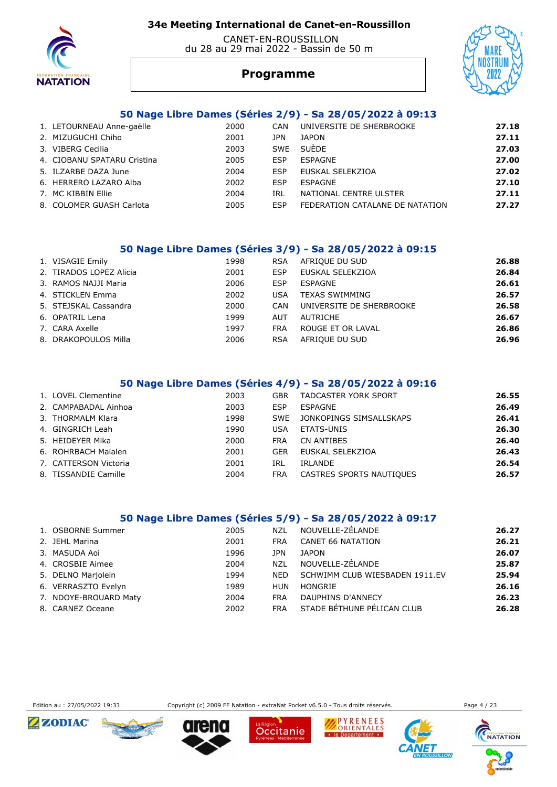

#### CANET-EN-ROUSSILLON du 28 au 29 mai 2022 - Bassin de 50 m



# **Programme**

#### **50 Nage Libre Dames (Séries 2/9) - Sa 28/05/2022 à 09:13**

| 1. LETOURNEAU Anne-gaëlle   | 2000 | <b>CAN</b> | UNIVERSITE DE SHERBROOKE        | 27.18 |
|-----------------------------|------|------------|---------------------------------|-------|
| 2. MIZUGUCHI Chiho          | 2001 | JPN        | <b>JAPON</b>                    | 27.11 |
| 3. VIBERG Cecilia           | 2003 | <b>SWE</b> | SUÈDE                           | 27.03 |
| 4. CIOBANU SPATARU Cristina | 2005 | <b>FSP</b> | ESPAGNE                         | 27.00 |
| 5. ILZARBE DAZA June        | 2004 | ESP        | EUSKAL SELEKZIOA                | 27.02 |
| 6. HERRERO LAZARO Alba      | 2002 | <b>FSP</b> | <b>FSPAGNE</b>                  | 27.10 |
| 7. MC KIBBIN Ellie          | 2004 | IRL        | NATIONAL CENTRE ULSTER          | 27.11 |
| 8. COLOMER GUASH Carlota    | 2005 | <b>FSP</b> | FEDERATION CATALANE DE NATATION | 27.27 |

#### **50 Nage Libre Dames (Séries 3/9) - Sa 28/05/2022 à 09:15**

| 1. VISAGIE Emily        | 1998 | <b>RSA</b> | AFRIQUE DU SUD           | 26.88 |
|-------------------------|------|------------|--------------------------|-------|
| 2. TIRADOS LOPEZ Alicia | 2001 | <b>ESP</b> | EUSKAL SELEKZIOA         | 26.84 |
| 3. RAMOS NAJJI Maria    | 2006 | ESP        | ESPAGNE                  | 26.61 |
| 4. STICKLEN Emma        | 2002 | <b>USA</b> | <b>TEXAS SWIMMING</b>    | 26.57 |
| 5. STEJSKAL Cassandra   | 2000 | <b>CAN</b> | UNIVERSITE DE SHERBROOKE | 26.58 |
| 6. OPATRIL Lena         | 1999 | <b>AUT</b> | AUTRICHE                 | 26.67 |
| 7. CARA Axelle          | 1997 | <b>FRA</b> | ROUGE ET OR LAVAL        | 26.86 |
| 8. DRAKOPOULOS Milla    | 2006 | <b>RSA</b> | AFRIQUE DU SUD           | 26.96 |

#### **50 Nage Libre Dames (Séries 4/9) - Sa 28/05/2022 à 09:16**

| 1. LOVEL Clementine   | 2003 | GBR        | <b>TADCASTER YORK SPORT</b> | 26.55 |
|-----------------------|------|------------|-----------------------------|-------|
| 2. CAMPABADAL Ainhoa  | 2003 | ESP        | ESPAGNE                     | 26.49 |
| 3. THORMALM Klara     | 1998 | <b>SWF</b> | JONKOPINGS SIMSALLSKAPS     | 26.41 |
| 4. GINGRICH Leah      | 1990 | USA        | ETATS-UNIS                  | 26.30 |
| 5. HEIDEYER Mika      | 2000 | <b>FRA</b> | CN ANTIBES                  | 26.40 |
| 6. ROHRBACH Maialen   | 2001 | <b>GER</b> | EUSKAL SELEKZIOA            | 26.43 |
| 7. CATTERSON Victoria | 2001 | IRL        | IRLANDE                     | 26.54 |
| 8. TISSANDIE Camille  | 2004 | <b>FRA</b> | CASTRES SPORTS NAUTIQUES    | 26.57 |

#### **50 Nage Libre Dames (Séries 5/9) - Sa 28/05/2022 à 09:17**

| 1. OSBORNE Summer     | 2005 | NZL        | NOUVELLE-ZÉLANDE               | 26.27 |
|-----------------------|------|------------|--------------------------------|-------|
| 2. JEHL Marina        | 2001 | <b>FRA</b> | <b>CANET 66 NATATION</b>       | 26.21 |
| 3. MASUDA Aoi         | 1996 | JPN        | <b>JAPON</b>                   | 26.07 |
| 4. CROSBIE Aimee      | 2004 | NZL        | NOUVELLE-ZÉLANDE               | 25.87 |
| 5. DELNO Marjolein    | 1994 | <b>NED</b> | SCHWIMM CLUB WIESBADEN 1911.EV | 25.94 |
| 6. VERRASZTO Evelyn   | 1989 | HUN        | HONGRIE                        | 26.16 |
| 7. NDOYE-BROUARD Maty | 2004 | <b>FRA</b> | DAUPHINS D'ANNECY              | 26.23 |
| 8. CARNEZ Oceane      | 2002 | <b>FRA</b> | STADE BÉTHUNE PÉLICAN CLUB     | 26.28 |
|                       |      |            |                                |       |



Edition au : 27/05/2022 19:33 Copyright (c) 2009 FF Natation - extraNat Pocket v6.5.0 - Tous droits réservés. Page 4 / 23

Occitanie

PYRENEES

le Département

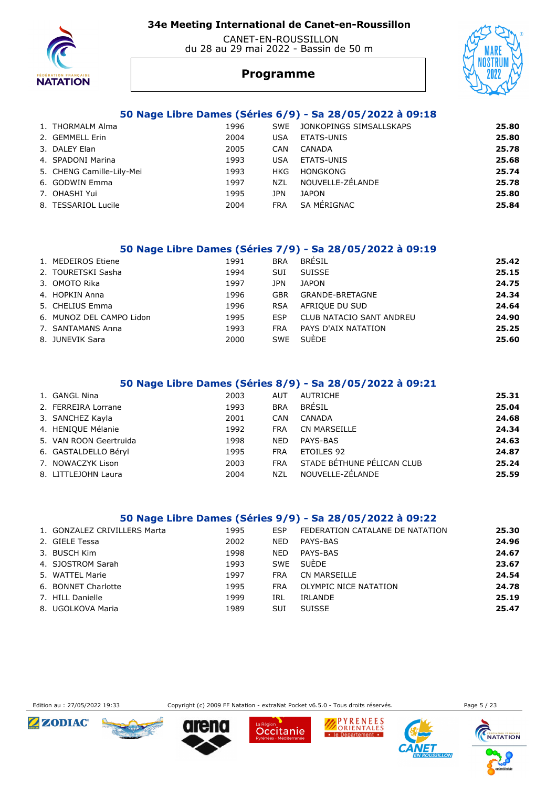

 CANET-EN-ROUSSILLON du 28 au 29 mai 2022 - Bassin de 50 m



# **Programme**

#### **50 Nage Libre Dames (Séries 6/9) - Sa 28/05/2022 à 09:18**

| 1. THORMALM Alma          | 1996 | <b>SWE</b> | JONKOPINGS SIMSALLSKAPS | 25.80 |
|---------------------------|------|------------|-------------------------|-------|
| 2. GEMMELL Erin           | 2004 | USA        | ETATS-UNIS              | 25.80 |
| 3. DALEY Elan             | 2005 | <b>CAN</b> | CANADA                  | 25.78 |
| 4. SPADONI Marina         | 1993 | USA        | ETATS-UNIS              | 25.68 |
| 5. CHENG Camille-Lily-Mei | 1993 | HKG        | <b>HONGKONG</b>         | 25.74 |
| 6. GODWIN Emma            | 1997 | <b>NZL</b> | NOUVELLE-ZÉLANDE        | 25.78 |
| 7. OHASHI Yui             | 1995 | JPN        | <b>JAPON</b>            | 25.80 |
| 8. TESSARIOL Lucile       | 2004 | <b>FRA</b> | SA MÉRIGNAC             | 25.84 |

#### **50 Nage Libre Dames (Séries 7/9) - Sa 28/05/2022 à 09:19**

| 1. MEDEIROS Etiene       | 1991 | <b>BRA</b> | <b>BRÉSIL</b>                   | 25.42 |
|--------------------------|------|------------|---------------------------------|-------|
| 2. TOURETSKI Sasha       | 1994 | <b>SUI</b> | <b>SUISSE</b>                   | 25.15 |
| 3. OMOTO Rika            | 1997 | JPN        | <b>JAPON</b>                    | 24.75 |
| 4. HOPKIN Anna           | 1996 | <b>GBR</b> | GRANDE-BRETAGNE                 | 24.34 |
| 5. CHELIUS Emma          | 1996 | <b>RSA</b> | AFRIOUE DU SUD                  | 24.64 |
| 6. MUNOZ DEL CAMPO Lidon | 1995 | <b>ESP</b> | <b>CLUB NATACIO SANT ANDREU</b> | 24.90 |
| 7. SANTAMANS Anna        | 1993 | <b>FRA</b> | PAYS D'AIX NATATION             | 25.25 |
| 8. JUNEVIK Sara          | 2000 | <b>SWE</b> | SUÈDE                           | 25.60 |

#### **50 Nage Libre Dames (Séries 8/9) - Sa 28/05/2022 à 09:21**

| 1. GANGL Nina          | 2003 | <b>AUT</b> | AUTRICHE                   | 25.31 |
|------------------------|------|------------|----------------------------|-------|
| 2. FERREIRA Lorrane    | 1993 | <b>BRA</b> | BRÉSIL                     | 25.04 |
| 3. SANCHEZ Kayla       | 2001 | CAN        | CANADA                     | 24.68 |
| 4. HENIQUE Mélanie     | 1992 | <b>FRA</b> | <b>CN MARSEILLE</b>        | 24.34 |
| 5. VAN ROON Geertruida | 1998 | <b>NED</b> | PAYS-BAS                   | 24.63 |
| 6. GASTALDELLO Béryl   | 1995 | <b>FRA</b> | ETOILES 92                 | 24.87 |
| 7. NOWACZYK Lison      | 2003 | <b>FRA</b> | STADE BÉTHUNE PÉLICAN CLUB | 25.24 |
| 8. LITTLEJOHN Laura    | 2004 | NZL        | NOUVELLE-ZÉLANDE           | 25.59 |

#### **50 Nage Libre Dames (Séries 9/9) - Sa 28/05/2022 à 09:22**

| 1. GONZALEZ CRIVILLERS Marta | 1995 | ESP        | FEDERATION CATALANE DE NATATION | 25.30 |
|------------------------------|------|------------|---------------------------------|-------|
| 2. GIELE Tessa               | 2002 | <b>NED</b> | PAYS-BAS                        | 24.96 |
| 3. BUSCH Kim                 | 1998 | <b>NED</b> | PAYS-BAS                        | 24.67 |
| 4. SJOSTROM Sarah            | 1993 | <b>SWE</b> | <b>SUÈDE</b>                    | 23.67 |
| 5. WATTEL Marie              | 1997 | <b>FRA</b> | <b>CN MARSEILLE</b>             | 24.54 |
| 6. BONNET Charlotte          | 1995 | <b>FRA</b> | OLYMPIC NICE NATATION           | 24.78 |
| 7. HILL Danielle             | 1999 | IRL        | IRLANDE                         | 25.19 |
| 8. UGOLKOVA Maria            | 1989 | SUI        | <b>SUISSE</b>                   | 25.47 |



Edition au : 27/05/2022 19:33 Copyright (c) 2009 FF Natation - extraNat Pocket v6.5.0 - Tous droits réservés. Page 5 / 23

Occitanie

PYRENEES

le Département



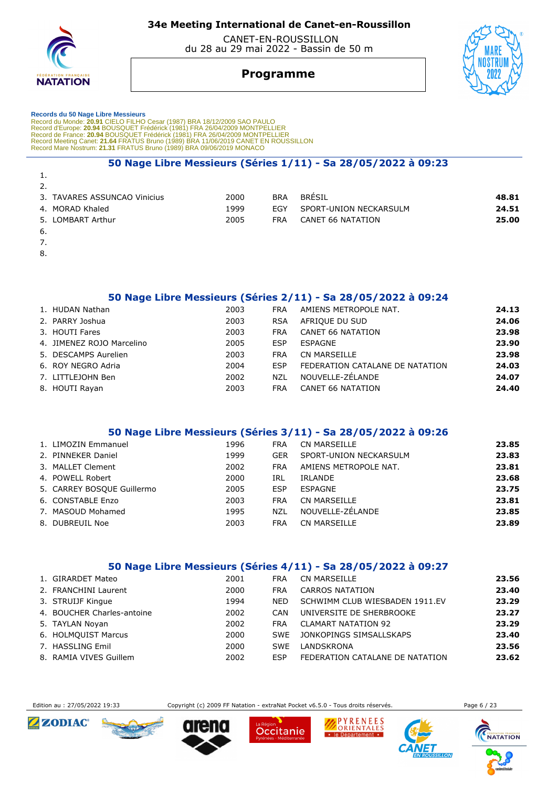

 CANET-EN-ROUSSILLON du 28 au 29 mai 2022 - Bassin de 50 m

# **Programme**



# **Records du 50 Nage Libre Messieurs**

Record du Monde: 20.91 CIELO FILHO Cesar (1987) BRA 18/12/2009 SAO PAULO<br>Record d'Europe: 20.94 BOUSQUET Frédérick (1981) FRA 26/04/2009 MONTPELLIER<br>Record de France: 20.94 BOUSQUET Frédérick (1981) FRA 26/04/2009 MONTPELL

#### **50 Nage Libre Messieurs (Séries 1/11) - Sa 28/05/2022 à 09:23**

| 1.                           |      |            |                        |       |
|------------------------------|------|------------|------------------------|-------|
| 2.                           |      |            |                        |       |
| 3. TAVARES ASSUNCAO Vinicius | 2000 | <b>BRA</b> | <b>BRESIL</b>          | 48.81 |
| 4. MORAD Khaled              | 1999 | <b>FGY</b> | SPORT-UNION NECKARSULM | 24.51 |
| 5. LOMBART Arthur            | 2005 | FRA        | CANET 66 NATATION      | 25.00 |
| -6.                          |      |            |                        |       |

- 7.
- 8.
- 

#### **50 Nage Libre Messieurs (Séries 2/11) - Sa 28/05/2022 à 09:24**

| 1. HUDAN Nathan           | 2003 | <b>FRA</b> | AMIENS METROPOLE NAT.           | 24.13 |
|---------------------------|------|------------|---------------------------------|-------|
| 2. PARRY Joshua           | 2003 | <b>RSA</b> | AFRIQUE DU SUD                  | 24.06 |
| 3. HOUTI Fares            | 2003 | <b>FRA</b> | <b>CANET 66 NATATION</b>        | 23.98 |
| 4. JIMENEZ ROJO Marcelino | 2005 | <b>ESP</b> | ESPAGNE                         | 23.90 |
| 5. DESCAMPS Aurelien      | 2003 | <b>FRA</b> | CN MARSEILLE                    | 23.98 |
| 6. ROY NEGRO Adria        | 2004 | <b>FSP</b> | FEDERATION CATALANE DE NATATION | 24.03 |
| 7. LITTLEJOHN Ben         | 2002 | <b>NZL</b> | NOUVELLE-ZÉLANDE                | 24.07 |
| 8. HOUTI Rayan            | 2003 | <b>FRA</b> | CANET 66 NATATION               | 24.40 |

#### **50 Nage Libre Messieurs (Séries 3/11) - Sa 28/05/2022 à 09:26**

| 1. LIMOZIN Emmanuel        | 1996 | <b>FRA</b> | CN MARSEILLE           | 23.85 |
|----------------------------|------|------------|------------------------|-------|
| 2. PINNEKER Daniel         | 1999 | <b>GER</b> | SPORT-UNION NECKARSULM | 23.83 |
| 3. MALLET Clement          | 2002 | <b>FRA</b> | AMIENS METROPOLE NAT.  | 23.81 |
| 4. POWELL Robert           | 2000 | IRL        | IRLANDE                | 23.68 |
| 5. CARREY BOSQUE Guillermo | 2005 | <b>ESP</b> | ESPAGNE                | 23.75 |
| 6. CONSTABLE Enzo          | 2003 | <b>FRA</b> | CN MARSEILLE           | 23.81 |
| 7. MASOUD Mohamed          | 1995 | <b>NZL</b> | NOUVELLE-ZÉLANDE       | 23.85 |
| 8. DUBREUIL Noe            | 2003 | FRA        | CN MARSEILLE           | 23.89 |

#### **50 Nage Libre Messieurs (Séries 4/11) - Sa 28/05/2022 à 09:27**

| 1. GIRARDET Mateo          | 2001 | <b>FRA</b> | <b>CN MARSEILLE</b>             | 23.56 |
|----------------------------|------|------------|---------------------------------|-------|
| 2. FRANCHINI Laurent       | 2000 | <b>FRA</b> | <b>CARROS NATATION</b>          | 23.40 |
| 3. STRUIJF Kingue          | 1994 | NFD.       | SCHWIMM CLUB WIESBADEN 1911.EV  | 23.29 |
| 4. BOUCHER Charles-antoine | 2002 | CAN        | UNIVERSITE DE SHERBROOKE        | 23.27 |
| 5. TAYLAN Noyan            | 2002 | <b>FRA</b> | <b>CLAMART NATATION 92</b>      | 23.29 |
| 6. HOLMOUIST Marcus        | 2000 | <b>SWF</b> | JONKOPINGS SIMSALLSKAPS         | 23.40 |
| 7. HASSLING Emil           | 2000 | <b>SWF</b> | LANDSKRONA                      | 23.56 |
| 8. RAMIA VIVES Guillem     | 2002 | <b>FSP</b> | FEDERATION CATALANE DE NATATION | 23.62 |

Edition au : 27/05/2022 19:33 Copyright (c) 2009 FF Natation - extraNat Pocket v6.5.0 - Tous droits réservés. Page 6 / 23











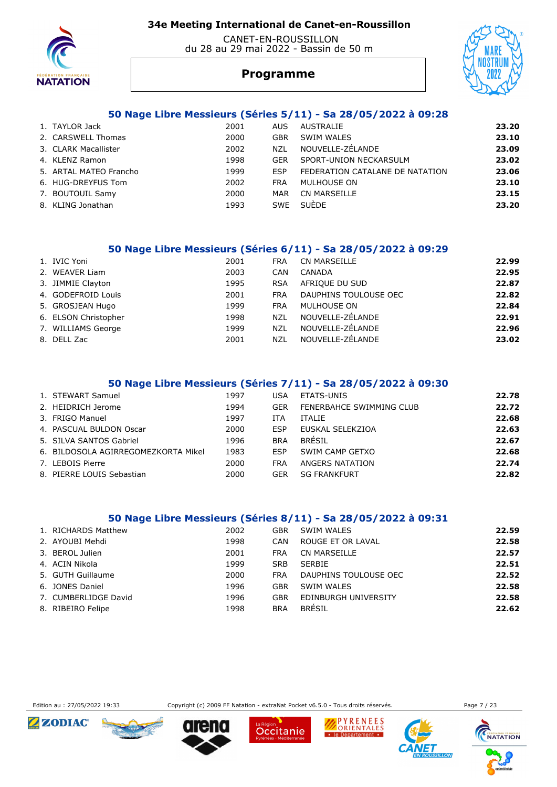

#### CANET-EN-ROUSSILLON du 28 au 29 mai 2022 - Bassin de 50 m



# **Programme**

#### **50 Nage Libre Messieurs (Séries 5/11) - Sa 28/05/2022 à 09:28**

| 1. TAYLOR Jack         | 2001 | AUS.       | AUSTRALIE                       | 23.20 |
|------------------------|------|------------|---------------------------------|-------|
| 2. CARSWELL Thomas     | 2000 | GBR        | SWIM WALES                      | 23.10 |
| 3. CLARK Macallister   | 2002 | <b>NZL</b> | NOUVELLE-ZÉLANDE                | 23.09 |
| 4. KLENZ Ramon         | 1998 | <b>GER</b> | SPORT-UNION NECKARSULM          | 23.02 |
| 5. ARTAL MATEO Francho | 1999 | <b>FSP</b> | FEDERATION CATALANE DE NATATION | 23.06 |
| 6. HUG-DREYFUS Tom     | 2002 | <b>FRA</b> | MULHOUSE ON                     | 23.10 |
| 7. BOUTOUIL Samy       | 2000 | MAR        | CN MARSEILLE                    | 23.15 |
| 8. KLING Jonathan      | 1993 | <b>SWE</b> | <b>SUÈDE</b>                    | 23.20 |

#### **50 Nage Libre Messieurs (Séries 6/11) - Sa 28/05/2022 à 09:29**

| 1. IVIC Yoni         | 2001 | <b>FRA</b> | <b>CN MARSEILLE</b>   | 22.99 |
|----------------------|------|------------|-----------------------|-------|
| 2. WEAVER Liam       | 2003 | <b>CAN</b> | CANADA                | 22.95 |
| 3. JIMMIE Clayton    | 1995 | <b>RSA</b> | AFRIQUE DU SUD        | 22.87 |
| 4. GODEFROID Louis   | 2001 | <b>FRA</b> | DAUPHINS TOULOUSE OEC | 22.82 |
| 5. GROSJEAN Hugo     | 1999 | <b>FRA</b> | MULHOUSE ON           | 22.84 |
| 6. ELSON Christopher | 1998 | <b>NZL</b> | NOUVELLE-ZÉLANDE      | 22.91 |
| 7. WILLIAMS George   | 1999 | <b>NZL</b> | NOUVELLE-ZÉLANDE      | 22.96 |
| 8. DELL Zac          | 2001 | NZL        | NOUVELLE-ZÉLANDE      | 23.02 |

#### **50 Nage Libre Messieurs (Séries 7/11) - Sa 28/05/2022 à 09:30**

| 1. STEWART Samuel                   | 1997 | USA        | ETATS-UNIS               | 22.78 |
|-------------------------------------|------|------------|--------------------------|-------|
| 2. HEIDRICH Jerome                  | 1994 | <b>GER</b> | FENERBAHCE SWIMMING CLUB | 22.72 |
| 3. FRIGO Manuel                     | 1997 | ITA        | <b>ITALIE</b>            | 22.68 |
| 4. PASCUAL BULDON Oscar             | 2000 | ESP        | EUSKAL SELEKZIOA         | 22.63 |
| 5. SILVA SANTOS Gabriel             | 1996 | <b>BRA</b> | <b>BRÉSIL</b>            | 22.67 |
| 6. BILDOSOLA AGIRREGOMEZKORTA Mikel | 1983 | ESP        | SWIM CAMP GETXO          | 22.68 |
| 7. LEBOIS Pierre                    | 2000 | <b>FRA</b> | ANGERS NATATION          | 22.74 |
| 8. PIERRE LOUIS Sebastian           | 2000 | GER        | <b>SG FRANKFURT</b>      | 22.82 |

#### **50 Nage Libre Messieurs (Séries 8/11) - Sa 28/05/2022 à 09:31**

| 1. RICHARDS Matthew  | 2002 | GBR        | SWIM WALES            | 22.59 |
|----------------------|------|------------|-----------------------|-------|
| 2. AYOUBI Mehdi      | 1998 | CAN        | ROUGE ET OR LAVAL     | 22.58 |
| 3. BEROL Julien      | 2001 | FRA        | CN MARSEILLE          | 22.57 |
| 4. ACIN Nikola       | 1999 | <b>SRB</b> | <b>SERBIE</b>         | 22.51 |
| 5. GUTH Guillaume    | 2000 | <b>FRA</b> | DAUPHINS TOULOUSE OEC | 22.52 |
| 6. JONES Daniel      | 1996 | <b>GBR</b> | SWIM WALES            | 22.58 |
| 7. CUMBERLIDGE David | 1996 | <b>GBR</b> | EDINBURGH UNIVERSITY  | 22.58 |
| 8. RIBEIRO Felipe    | 1998 | <b>BRA</b> | <b>BRÉSIL</b>         | 22.62 |



Edition au : 27/05/2022 19:33 Copyright (c) 2009 FF Natation - extraNat Pocket v6.5.0 - Tous droits réservés. Page 7 / 23







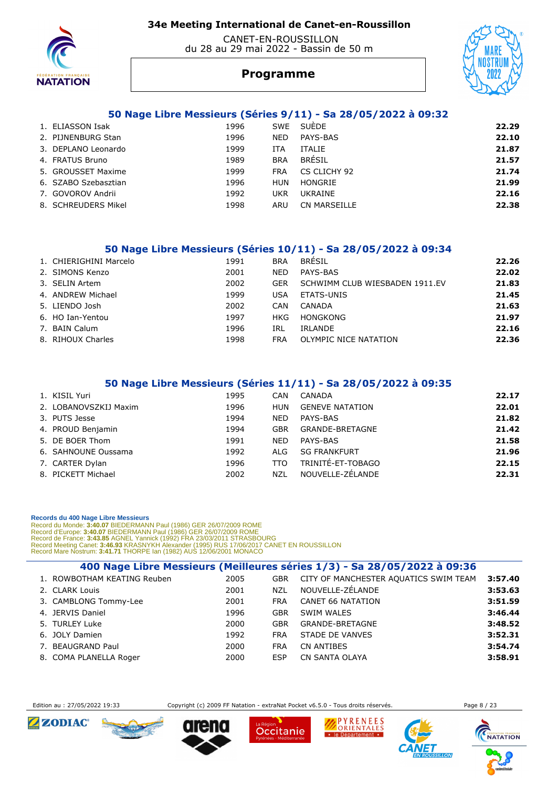

#### CANET-EN-ROUSSILLON du 28 au 29 mai 2022 - Bassin de 50 m



# **Programme**

#### **50 Nage Libre Messieurs (Séries 9/11) - Sa 28/05/2022 à 09:32**

| 1. ELIASSON Isak     | 1996 |            | SWE SUEDE           | 22.29 |
|----------------------|------|------------|---------------------|-------|
| 2. PIJNENBURG Stan   | 1996 | <b>NED</b> | PAYS-BAS            | 22.10 |
| 3. DEPLANO Leonardo  | 1999 | ITA        | <b>ITALIE</b>       | 21.87 |
| 4. FRATUS Bruno      | 1989 | <b>BRA</b> | <b>BRÉSIL</b>       | 21.57 |
| 5. GROUSSET Maxime   | 1999 | <b>FRA</b> | CS CLICHY 92        | 21.74 |
| 6. SZABO Szebasztian | 1996 | <b>HUN</b> | HONGRIE             | 21.99 |
| 7. GOVOROV Andrii    | 1992 | UKR        | UKRAINE             | 22.16 |
| 8. SCHREUDERS Mikel  | 1998 | ARU        | <b>CN MARSEILLE</b> | 22.38 |

#### **50 Nage Libre Messieurs (Séries 10/11) - Sa 28/05/2022 à 09:34**

| 1. CHIERIGHINI Marcelo | 1991 | <b>BRA</b> | <b>BRÉSIL</b>                  | 22.26 |
|------------------------|------|------------|--------------------------------|-------|
| 2. SIMONS Kenzo        | 2001 | <b>NED</b> | PAYS-BAS                       | 22.02 |
| 3. SELIN Artem         | 2002 | <b>GER</b> | SCHWIMM CLUB WIESBADEN 1911.EV | 21.83 |
| 4. ANDREW Michael      | 1999 | USA        | ETATS-UNIS                     | 21.45 |
| 5. LIENDO Josh         | 2002 | CAN        | CANADA                         | 21.63 |
| 6. HO Ian-Yentou       | 1997 | HKG        | HONGKONG                       | 21.97 |
| 7. BAIN Calum          | 1996 | IRL        | IRLANDE                        | 22.16 |
| 8. RIHOUX Charles      | 1998 | FRA        | OLYMPIC NICE NATATION          | 22.36 |

#### **50 Nage Libre Messieurs (Séries 11/11) - Sa 28/05/2022 à 09:35**

| 1. KISIL Yuri         | 1995 | CAN        | CANADA                 | 22.17 |
|-----------------------|------|------------|------------------------|-------|
| 2. LOBANOVSZKIJ Maxim | 1996 | <b>HUN</b> | <b>GENEVE NATATION</b> | 22.01 |
| 3. PUTS Jesse         | 1994 | <b>NED</b> | PAYS-BAS               | 21.82 |
| 4. PROUD Benjamin     | 1994 | GBR        | <b>GRANDE-BRETAGNE</b> | 21.42 |
| 5. DE BOER Thom       | 1991 | <b>NED</b> | PAYS-BAS               | 21.58 |
| 6. SAHNOUNE Oussama   | 1992 | ALG        | <b>SG FRANKFURT</b>    | 21.96 |
| 7. CARTER Dylan       | 1996 | TTO        | TRINITÉ-ET-TOBAGO      | 22.15 |
| 8. PICKETT Michael    | 2002 | NZL        | NOUVELLE-ZÉLANDE       | 22.31 |

#### **Records du 400 Nage Libre Messieurs**

Record du Monde: 3:40.07 BIEDERMANN Paul (1986) GER 26/07/2009 ROME<br>Record d'Europe: 3:40.07 BIEDERMANN Paul (1986) GER 26/07/2009 ROME<br>Record de France: 3:43.85 AGNEL Yannick (1992) FRA 23/03/2011 STRASDOURG<br>Record Meetin

| 400 Nage Libre Messieurs (Meilleures séries 1/3) - Sa 28/05/2022 à 09:36 |      |            |                                       |         |  |  |  |  |
|--------------------------------------------------------------------------|------|------------|---------------------------------------|---------|--|--|--|--|
| 1. ROWBOTHAM KEATING Reuben                                              | 2005 | <b>GBR</b> | CITY OF MANCHESTER AQUATICS SWIM TEAM | 3:57.40 |  |  |  |  |
| 2. CLARK Louis                                                           | 2001 | <b>NZL</b> | NOUVELLE-ZÉLANDE                      | 3:53.63 |  |  |  |  |
| 3. CAMBLONG Tommy-Lee                                                    | 2001 | <b>FRA</b> | <b>CANET 66 NATATION</b>              | 3:51.59 |  |  |  |  |
| 4. JERVIS Daniel                                                         | 1996 | <b>GBR</b> | SWIM WALES                            | 3:46.44 |  |  |  |  |
| 5. TURLEY Luke                                                           | 2000 | <b>GBR</b> | <b>GRANDE-BRETAGNE</b>                | 3:48.52 |  |  |  |  |
| 6. JOLY Damien                                                           | 1992 | <b>FRA</b> | STADE DE VANVES                       | 3:52.31 |  |  |  |  |
| 7. BEAUGRAND Paul                                                        | 2000 | <b>FRA</b> | CN ANTIBES                            | 3:54.74 |  |  |  |  |
| 8. COMA PLANELLA Roger                                                   | 2000 | <b>ESP</b> | <b>CN SANTA OLAYA</b>                 | 3:58.91 |  |  |  |  |



Edition au : 27/05/2022 19:33 Copyright (c) 2009 FF Natation - extraNat Pocket v6.5.0 - Tous droits réservés. Page 8 / 23

Occitanie



 $IIIOM$ 

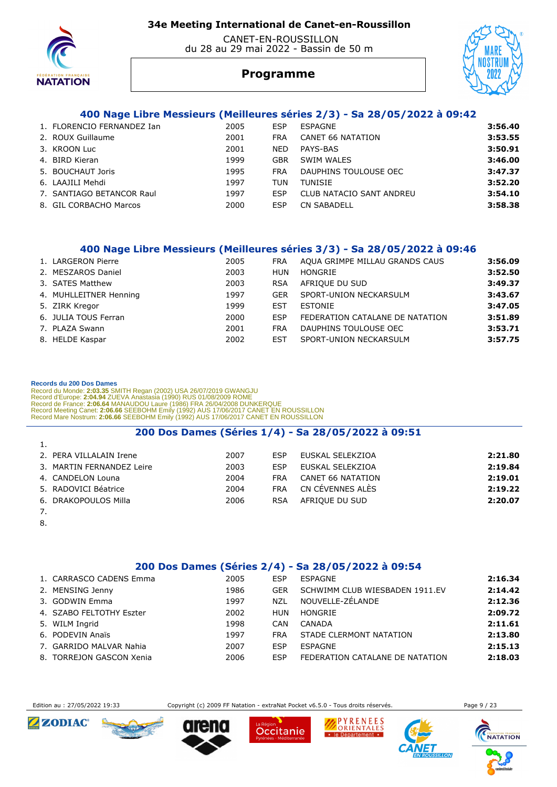

#### CANET-EN-ROUSSILLON du 28 au 29 mai 2022 - Bassin de 50 m



# **Programme**

#### **400 Nage Libre Messieurs (Meilleures séries 2/3) - Sa 28/05/2022 à 09:42**

| 1. FLORENCIO FERNANDEZ Ian | 2005 | ESP        | ESPAGNE                  | 3:56.40 |
|----------------------------|------|------------|--------------------------|---------|
| 2. ROUX Guillaume          | 2001 | FRA        | CANET 66 NATATION        | 3:53.55 |
| 3. KROON Luc               | 2001 | <b>NED</b> | PAYS-BAS                 | 3:50.91 |
| 4. BIRD Kieran             | 1999 | <b>GBR</b> | SWIM WALES               | 3:46.00 |
| 5. BOUCHAUT Joris          | 1995 | <b>FRA</b> | DAUPHINS TOULOUSE OEC    | 3:47.37 |
| 6. LAAJILI Mehdi           | 1997 | TUN        | TUNISIE                  | 3:52.20 |
| 7. SANTIAGO BETANCOR Raul  | 1997 | ESP        | CLUB NATACIO SANT ANDREU | 3:54.10 |
| 8. GIL CORBACHO Marcos     | 2000 | ESP        | <b>CN SABADELL</b>       | 3:58.38 |
|                            |      |            |                          |         |

#### **400 Nage Libre Messieurs (Meilleures séries 3/3) - Sa 28/05/2022 à 09:46**

| 1. LARGERON Pierre     | 2005 | <b>FRA</b> | AQUA GRIMPE MILLAU GRANDS CAUS  | 3:56.09 |
|------------------------|------|------------|---------------------------------|---------|
| 2. MESZAROS Daniel     | 2003 | HUN        | HONGRIE                         | 3:52.50 |
| 3. SATES Matthew       | 2003 | <b>RSA</b> | AFRIQUE DU SUD                  | 3:49.37 |
| 4. MUHLLEITNER Henning | 1997 | <b>GER</b> | SPORT-UNION NECKARSULM          | 3:43.67 |
| 5. ZIRK Kregor         | 1999 | EST        | <b>ESTONIE</b>                  | 3:47.05 |
| 6. JULIA TOUS Ferran   | 2000 | <b>ESP</b> | FEDERATION CATALANE DE NATATION | 3:51.89 |
| 7. PLAZA Swann         | 2001 | <b>FRA</b> | DAUPHINS TOULOUSE OEC           | 3:53.71 |
| 8. HELDE Kaspar        | 2002 | <b>EST</b> | SPORT-UNION NECKARSULM          | 3:57.75 |
|                        |      |            |                                 |         |

#### **Records du 200 Dos Dames**

Record du Monde: 2:03.35 SMITH Regan (2002) USA 26/07/2019 GWANGJU<br>Record d'Europe: 2:04.94 ZUEVA Anastasia (1990) RUS 01/08/2009 ROME<br>Record de France: 2:06.64 MANAUDOU Laure (1986) FRA 26/04/2008 DUNKERQUE<br>Record Meeting

#### **200 Dos Dames (Séries 1/4) - Sa 28/05/2022 à 09:51**

| 1.                        |      |            |                   |         |
|---------------------------|------|------------|-------------------|---------|
| 2. PERA VILLALAIN Irene   | 2007 | ESP        | EUSKAL SELEKZIOA  | 2:21.80 |
| 3. MARTIN FERNANDEZ Leire | 2003 | ESP        | EUSKAL SELEKZIOA  | 2:19.84 |
| 4. CANDELON Louna         | 2004 | <b>FRA</b> | CANET 66 NATATION | 2:19.01 |
| 5. RADOVICI Béatrice      | 2004 | <b>FRA</b> | CN CÉVENNES ALÈS  | 2:19.22 |
| 6. DRAKOPOULOS Milla      | 2006 | <b>RSA</b> | AFRIQUE DU SUD    | 2:20.07 |
|                           |      |            |                   |         |

- 7.
- 8.

#### **200 Dos Dames (Séries 2/4) - Sa 28/05/2022 à 09:54**

| 1. CARRASCO CADENS Emma  | 2005 | ESP        | <b>FSPAGNE</b>                  | 2:16.34 |
|--------------------------|------|------------|---------------------------------|---------|
| 2. MENSING Jenny         | 1986 | <b>GER</b> | SCHWIMM CLUB WIESBADEN 1911.EV  | 2:14.42 |
| 3. GODWIN Emma           | 1997 | <b>NZL</b> | NOUVELLE-ZÉLANDE                | 2:12.36 |
| 4. SZABO FELTOTHY Eszter | 2002 | <b>HUN</b> | HONGRIE                         | 2:09.72 |
| 5. WILM Ingrid           | 1998 | CAN        | CANADA                          | 2:11.61 |
| 6. PODEVIN Anaïs         | 1997 | <b>FRA</b> | STADE CLERMONT NATATION         | 2:13.80 |
| 7. GARRIDO MALVAR Nahia  | 2007 | ESP        | ESPAGNE                         | 2:15.13 |
| 8. TORREJON GASCON Xenia | 2006 | <b>FSP</b> | FEDERATION CATALANE DE NATATION | 2:18.03 |

Edition au : 27/05/2022 19:33 Copyright (c) 2009 FF Natation - extraNat Pocket v6.5.0 - Tous droits réservés. Page 9 / 23











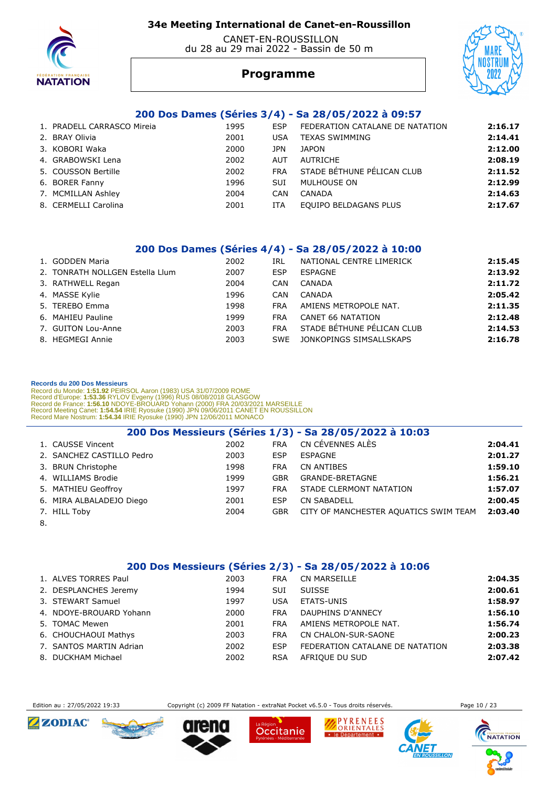

#### CANET-EN-ROUSSILLON du 28 au 29 mai 2022 - Bassin de 50 m



# **Programme**

#### **200 Dos Dames (Séries 3/4) - Sa 28/05/2022 à 09:57**

| 1. PRADELL CARRASCO Mireia | 1995 | ESP        | FEDERATION CATALANE DE NATATION | 2:16.17 |
|----------------------------|------|------------|---------------------------------|---------|
| 2. BRAY Olivia             | 2001 | USA        | <b>TEXAS SWIMMING</b>           | 2:14.41 |
| 3. KOBORI Waka             | 2000 | JPN        | <b>JAPON</b>                    | 2:12.00 |
| 4. GRABOWSKI Lena          | 2002 | AUT        | AUTRICHE                        | 2:08.19 |
| 5. COUSSON Bertille        | 2002 | <b>FRA</b> | STADE BÉTHUNE PÉLICAN CLUB      | 2:11.52 |
| 6. BORER Fanny             | 1996 | <b>SUI</b> | MULHOUSE ON                     | 2:12.99 |
| 7. MCMILLAN Ashley         | 2004 | CAN        | CANADA                          | 2:14.63 |
| 8. CERMELLI Carolina       | 2001 | <b>ITA</b> | EQUIPO BELDAGANS PLUS           | 2:17.67 |
|                            |      |            |                                 |         |

#### **200 Dos Dames (Séries 4/4) - Sa 28/05/2022 à 10:00**

| 1. GODDEN Maria                 | 2002 | IRL        | NATIONAL CENTRE LIMERICK   | 2:15.45 |
|---------------------------------|------|------------|----------------------------|---------|
| 2. TONRATH NOLLGEN Estella Llum | 2007 | <b>ESP</b> | ESPAGNE                    | 2:13.92 |
| 3. RATHWELL Regan               | 2004 | <b>CAN</b> | CANADA                     | 2:11.72 |
| 4. MASSE Kylie                  | 1996 | CAN        | CANADA                     | 2:05.42 |
| 5. TEREBO Emma                  | 1998 | <b>FRA</b> | AMIENS METROPOLE NAT.      | 2:11.35 |
| 6. MAHIEU Pauline               | 1999 | <b>FRA</b> | <b>CANET 66 NATATION</b>   | 2:12.48 |
| 7. GUITON Lou-Anne              | 2003 | <b>FRA</b> | STADE BÉTHUNE PÉLICAN CLUB | 2:14.53 |
| 8. HEGMEGI Annie                | 2003 | SWE        | JONKOPINGS SIMSALLSKAPS    | 2:16.78 |
|                                 |      |            |                            |         |

#### **Records du 200 Dos Messieurs**

Record du Monde: 1:51.92 PEIRSOL Aaron (1983) USA 31/07/2009 ROME<br>Record d'Europe: 1:53.36 RYLOV Evgeny (1996) RUS 08/08/2018 GLASGOW<br>Record de France: 1:56.10 NDOYE-BROUARD Yohann (2000) FRA 20/03/2021 MARSEILLE<br>Record Me

| 200 Dos Messieurs (Séries 1/3) - Sa 28/05/2022 à 10:03 |                           |      |            |                                       |         |  |
|--------------------------------------------------------|---------------------------|------|------------|---------------------------------------|---------|--|
|                                                        | 1. CAUSSE Vincent         | 2002 | <b>FRA</b> | CN CÉVENNES ALÈS                      | 2:04.41 |  |
|                                                        | 2. SANCHEZ CASTILLO Pedro | 2003 | ESP        | ESPAGNE                               | 2:01.27 |  |
|                                                        | 3. BRUN Christophe        | 1998 | <b>FRA</b> | CN ANTIBES                            | 1:59.10 |  |
|                                                        | 4. WILLIAMS Brodie        | 1999 | <b>GBR</b> | <b>GRANDE-BRETAGNE</b>                | 1:56.21 |  |
|                                                        | 5. MATHIEU Geoffroy       | 1997 | <b>FRA</b> | STADE CLERMONT NATATION               | 1:57.07 |  |
|                                                        | 6. MIRA ALBALADEJO Diego  | 2001 | ESP        | <b>CN SABADELL</b>                    | 2:00.45 |  |
|                                                        | 7. HILL Toby              | 2004 | <b>GBR</b> | CITY OF MANCHESTER AQUATICS SWIM TEAM | 2:03.40 |  |
| $\Omega$                                               |                           |      |            |                                       |         |  |

8.

#### **200 Dos Messieurs (Séries 2/3) - Sa 28/05/2022 à 10:06**

| 1. ALVES TORRES Paul    | 2003 | FRA        | CN MARSEILLE                    | 2:04.35 |
|-------------------------|------|------------|---------------------------------|---------|
| 2. DESPLANCHES Jeremy   | 1994 | <b>SUI</b> | <b>SUISSE</b>                   | 2:00.61 |
| 3. STEWART Samuel       | 1997 | USA        | <b>ETATS-UNIS</b>               | 1:58.97 |
| 4. NDOYE-BROUARD Yohann | 2000 | <b>FRA</b> | DAUPHINS D'ANNECY               | 1:56.10 |
| 5. TOMAC Mewen          | 2001 | <b>FRA</b> | AMIENS METROPOLE NAT.           | 1:56.74 |
| 6. CHOUCHAOUI Mathys    | 2003 | <b>FRA</b> | CN CHALON-SUR-SAONE             | 2:00.23 |
| 7. SANTOS MARTIN Adrian | 2002 | ESP        | FEDERATION CATALANE DE NATATION | 2:03.38 |
| 8. DUCKHAM Michael      | 2002 | <b>RSA</b> | AFRIQUE DU SUD                  | 2:07.42 |

Edition au : 27/05/2022 19:33 Copyright (c) 2009 FF Natation - extraNat Pocket v6.5.0 - Tous droits réservés. Page 10 / 23















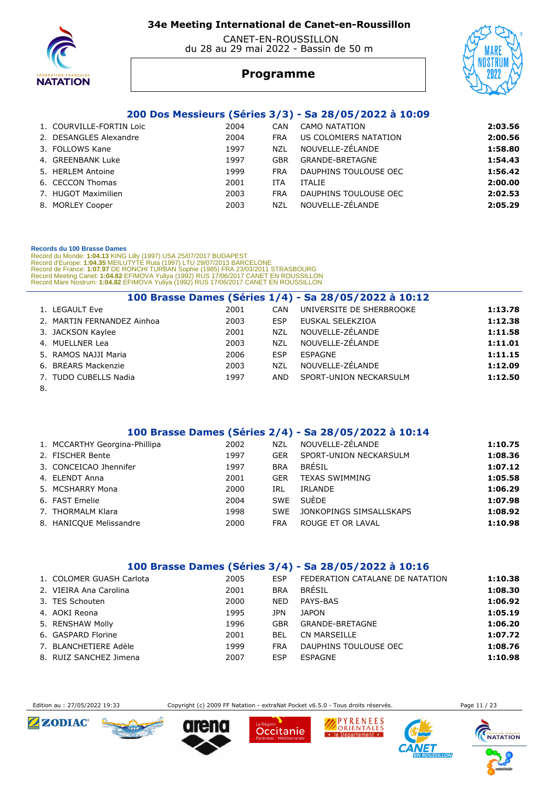

#### CANET-EN-ROUSSILLON du 28 au 29 mai 2022 - Bassin de 50 m



# **Programme**

#### **200 Dos Messieurs (Séries 3/3) - Sa 28/05/2022 à 10:09**

| 1. COURVILLE-FORTIN Loic | 2004 | CAN        | CAMO NATATION         | 2:03.56 |
|--------------------------|------|------------|-----------------------|---------|
| 2. DESANGLES Alexandre   | 2004 | <b>FRA</b> | US COLOMIERS NATATION | 2:00.56 |
| 3. FOLLOWS Kane          | 1997 | <b>NZL</b> | NOUVELLE-ZÉLANDE      | 1:58.80 |
| 4. GREENBANK Luke        | 1997 | <b>GBR</b> | GRANDE-BRETAGNE       | 1:54.43 |
| 5. HERLEM Antoine        | 1999 | <b>FRA</b> | DAUPHINS TOULOUSE OEC | 1:56.42 |
| 6. CECCON Thomas         | 2001 | ITA        | <b>ITALIE</b>         | 2:00.00 |
| 7. HUGOT Maximilien      | 2003 | <b>FRA</b> | DAUPHINS TOULOUSE OEC | 2:02.53 |
| 8. MORLEY Cooper         | 2003 | NZL        | NOUVELLE-ZÉLANDE      | 2:05.29 |

#### **Records du 100 Brasse Dames**

Record du Monde: 1:04.13 KING Lilly (1997) USA 25/07/2017 BUDAPEST<br>Record d'Europe: 1:04.35 MEILUTYTE Ruta (1997) LTU 29/07/2013 BARCELONE<br>Record de France: 1:07.97 DE RONCHI TURBAN Sophie (1985) FRA 23/03/2011 STRASBOURG<br>

| 100 Brasse Dames (Séries 1/4) - Sa 28/05/2022 à 10:12 |                            |      |            |                          |         |  |
|-------------------------------------------------------|----------------------------|------|------------|--------------------------|---------|--|
| 1. LEGAULT Eve                                        |                            | 2001 | CAN        | UNIVERSITE DE SHERBROOKE | 1:13.78 |  |
|                                                       | 2. MARTIN FERNANDEZ Ainhoa | 2003 | <b>ESP</b> | EUSKAL SELEKZIOA         | 1:12.38 |  |
| 3. JACKSON Kaylee                                     |                            | 2001 | <b>NZL</b> | NOUVELLE-ZÉLANDE         | 1:11.58 |  |
| 4. MUELLNER Lea                                       |                            | 2003 | <b>NZL</b> | NOUVELLE-ZÉLANDE         | 1:11.01 |  |
| 5. RAMOS NAJJI Maria                                  |                            | 2006 | <b>ESP</b> | ESPAGNE                  | 1:11.15 |  |
| 6. BREARS Mackenzie                                   |                            | 2003 | <b>NZL</b> | NOUVELLE-ZÉLANDE         | 1:12.09 |  |
| 7. TUDO CUBELLS Nadia                                 |                            | 1997 | AND        | SPORT-UNION NECKARSULM   | 1:12.50 |  |
| Q                                                     |                            |      |            |                          |         |  |

#### 8.

#### **100 Brasse Dames (Séries 2/4) - Sa 28/05/2022 à 10:14**

| 1. MCCARTHY Georgina-Phillipa | 2002 | NZL        | NOUVELLE-ZÉLANDE        | 1:10.75 |
|-------------------------------|------|------------|-------------------------|---------|
| 2. FISCHER Bente              | 1997 | GER        | SPORT-UNION NECKARSULM  | 1:08.36 |
| 3. CONCEICAO Jhennifer        | 1997 | <b>BRA</b> | BRÉSIL                  | 1:07.12 |
| 4. ELENDT Anna                | 2001 | GER        | <b>TEXAS SWIMMING</b>   | 1:05.58 |
| 5. MCSHARRY Mona              | 2000 | IRL        | IRLANDE                 | 1:06.29 |
| 6. FAST Emelie                | 2004 | <b>SWE</b> | SUÈDE                   | 1:07.98 |
| 7. THORMALM Klara             | 1998 | <b>SWF</b> | JONKOPINGS SIMSALLSKAPS | 1:08.92 |
| 8. HANICOUE Melissandre       | 2000 | <b>FRA</b> | ROUGE ET OR LAVAL       | 1:10.98 |

#### **100 Brasse Dames (Séries 3/4) - Sa 28/05/2022 à 10:16**

| 1. COLOMER GUASH Carlota | 2005 | ESP        | FEDERATION CATALANE DE NATATION | 1:10.38 |
|--------------------------|------|------------|---------------------------------|---------|
| 2. VIEIRA Ana Carolina   | 2001 | <b>BRA</b> | <b>BRÉSIL</b>                   | 1:08.30 |
| 3. TES Schouten          | 2000 | <b>NED</b> | PAYS-BAS                        | 1:06.92 |
| 4. AOKI Reona            | 1995 | JPN        | <b>JAPON</b>                    | 1:05.19 |
| 5. RENSHAW Molly         | 1996 | GBR        | GRANDE-BRETAGNE                 | 1:06.20 |
| 6. GASPARD Florine       | 2001 | BEL        | CN MARSEILLE                    | 1:07.72 |
| 7. BLANCHETIERE Adèle    | 1999 | <b>FRA</b> | DAUPHINS TOULOUSE OEC           | 1:08.76 |
| 8. RUIZ SANCHEZ Jimena   | 2007 | ESP        | ESPAGNE                         | 1:10.98 |

Edition au : 27/05/2022 19:33 Copyright (c) 2009 FF Natation - extraNat Pocket v6.5.0 - Tous droits réservés. Page 11 / 23











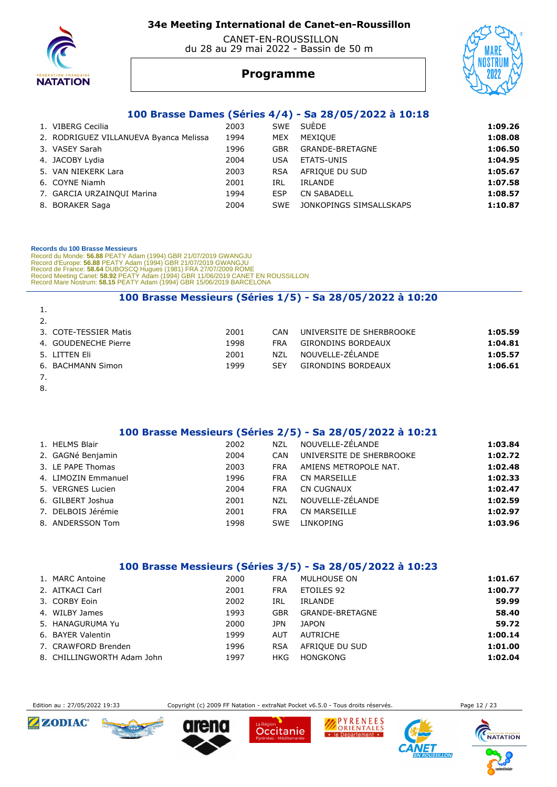

 CANET-EN-ROUSSILLON du 28 au 29 mai 2022 - Bassin de 50 m

# **Programme**



#### **100 Brasse Dames (Séries 4/4) - Sa 28/05/2022 à 10:18**

| 1. VIBERG Cecilia                      | 2003 |            | SWE SUÈDE               | 1:09.26 |
|----------------------------------------|------|------------|-------------------------|---------|
| 2. RODRIGUEZ VILLANUEVA Byanca Melissa | 1994 | <b>MEX</b> | MEXIOUE                 | 1:08.08 |
| 3. VASEY Sarah                         | 1996 | <b>GBR</b> | <b>GRANDE-BRETAGNE</b>  | 1:06.50 |
| 4. JACOBY Lydia                        | 2004 | USA        | ETATS-UNIS              | 1:04.95 |
| 5. VAN NIEKERK Lara                    | 2003 | <b>RSA</b> | AFRIQUE DU SUD          | 1:05.67 |
| 6. COYNE Niamh                         | 2001 | IRL        | IRLANDE                 | 1:07.58 |
| 7. GARCIA URZAINOUI Marina             | 1994 | <b>ESP</b> | <b>CN SABADELL</b>      | 1:08.57 |
| 8. BORAKER Saga                        | 2004 | SWE        | JONKOPINGS SIMSALLSKAPS | 1:10.87 |
|                                        |      |            |                         |         |

#### **Records du 100 Brasse Messieurs**

 Record du Monde: **56.88** PEATY Adam (1994) GBR 21/07/2019 GWANGJU Record d'Europe: **56.88** PEATY Adam (1994) GBR 21/07/2019 GWANGJU Record de France: **58.64** DUBOSCQ Hugues (1981) FRA 27/07/2009 ROME<br>Record Meeting Canet: **58.92** PEATY Adam (1994) GBR 11/06/2019 CANET EN ROUSSILLON<br>Record Mare Nostrum: **58.15** PEATY Adam (1994) GBR 15/06/2019 BARCELONA

#### **100 Brasse Messieurs (Séries 1/5) - Sa 28/05/2022 à 10:20**

| 3. COTE-TESSIER Matis | 2001 | CAN        | UNIVERSITE DE SHERBROOKE  | 1:05.59 |
|-----------------------|------|------------|---------------------------|---------|
| 4. GOUDENECHE Pierre  | 1998 | FRA        | <b>GIRONDINS BORDEAUX</b> | 1:04.81 |
| 5. LITTEN Fli         | 2001 | N71        | NOUVELLE-ZÉLANDE          | 1:05.57 |
| 6. BACHMANN Simon     | 1999 | <b>SFY</b> | <b>GIRONDINS BORDEAUX</b> | 1:06.61 |
|                       |      |            |                           |         |

1.

8.

#### **100 Brasse Messieurs (Séries 2/5) - Sa 28/05/2022 à 10:21**

| 1. HELMS Blair      | 2002 | NZL        | NOUVELLE-ZELANDE         | 1:03.84 |
|---------------------|------|------------|--------------------------|---------|
| 2. GAGNé Benjamin   | 2004 | CAN        | UNIVERSITE DE SHERBROOKE | 1:02.72 |
| 3. LE PAPE Thomas   | 2003 | <b>FRA</b> | AMIENS METROPOLE NAT.    | 1:02.48 |
| 4. LIMOZIN Emmanuel | 1996 | <b>FRA</b> | <b>CN MARSEILLE</b>      | 1:02.33 |
| 5. VERGNES Lucien   | 2004 | <b>FRA</b> | CN CUGNAUX               | 1:02.47 |
| 6. GILBERT Joshua   | 2001 | <b>NZL</b> | NOUVELLE-ZÉLANDE         | 1:02.59 |
| 7. DELBOIS Jérémie  | 2001 | <b>FRA</b> | <b>CN MARSEILLE</b>      | 1:02.97 |
| 8. ANDERSSON Tom    | 1998 | <b>SWE</b> | LINKOPING                | 1:03.96 |
|                     |      |            |                          |         |

#### **100 Brasse Messieurs (Séries 3/5) - Sa 28/05/2022 à 10:23**

| 1. MARC Antoine            | 2000 | <b>FRA</b> | MULHOUSE ON     | 1:01.67 |
|----------------------------|------|------------|-----------------|---------|
| 2. AITKACI Carl            | 2001 | <b>FRA</b> | ETOILES 92      | 1:00.77 |
| 3. CORBY Eoin              | 2002 | IRL        | IRLANDE         | 59.99   |
| 4. WILBY James             | 1993 | <b>GBR</b> | GRANDE-BRETAGNE | 58.40   |
| 5. HANAGURUMA Yu           | 2000 | JPN        | <b>JAPON</b>    | 59.72   |
| 6. BAYER Valentin          | 1999 | AUT        | AUTRICHE        | 1:00.14 |
| 7. CRAWFORD Brenden        | 1996 | <b>RSA</b> | AFRIOUE DU SUD  | 1:01.00 |
| 8. CHILLINGWORTH Adam John | 1997 | HKG.       | <b>HONGKONG</b> | 1:02.04 |

Edition au : 27/05/2022 19:33 Copyright (c) 2009 FF Natation - extraNat Pocket v6.5.0 - Tous droits réservés. Page 12 / 23













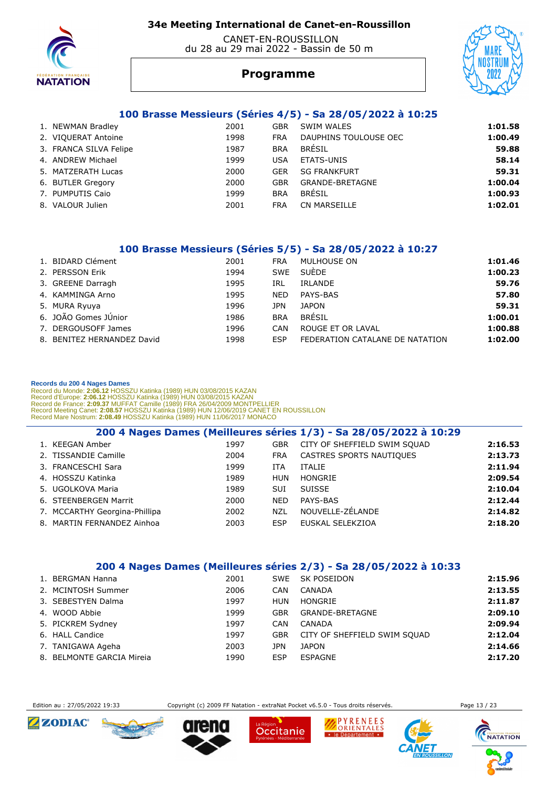

 CANET-EN-ROUSSILLON du 28 au 29 mai 2022 - Bassin de 50 m



#### **Programme**

#### **100 Brasse Messieurs (Séries 4/5) - Sa 28/05/2022 à 10:25**

| 1. NEWMAN Bradley      | 2001 | <b>GBR</b> | SWIM WALES            | 1:01.58 |
|------------------------|------|------------|-----------------------|---------|
| 2. VIQUERAT Antoine    | 1998 | <b>FRA</b> | DAUPHINS TOULOUSE OEC | 1:00.49 |
| 3. FRANCA SILVA Felipe | 1987 | <b>BRA</b> | BRÉSIL                | 59.88   |
| 4. ANDREW Michael      | 1999 | <b>USA</b> | ETATS-UNIS            | 58.14   |
| 5. MATZERATH Lucas     | 2000 | <b>GER</b> | <b>SG FRANKFURT</b>   | 59.31   |
| 6. BUTLER Gregory      | 2000 | GBR        | GRANDE-BRETAGNE       | 1:00.04 |
| 7. PUMPUTIS Caio       | 1999 | <b>BRA</b> | <b>BRÉSIL</b>         | 1:00.93 |
| 8. VALOUR Julien       | 2001 | <b>FRA</b> | CN MARSEILLE          | 1:02.01 |

#### **100 Brasse Messieurs (Séries 5/5) - Sa 28/05/2022 à 10:27**

| 1. BIDARD Clément          | 2001 | <b>FRA</b> | MULHOUSE ON                     | 1:01.46 |
|----------------------------|------|------------|---------------------------------|---------|
| 2. PERSSON Erik            | 1994 | <b>SWE</b> | SUÈDE                           | 1:00.23 |
| 3. GREENE Darragh          | 1995 | IRL        | <b>IRLANDE</b>                  | 59.76   |
| 4. KAMMINGA Arno           | 1995 | <b>NED</b> | PAYS-BAS                        | 57.80   |
| 5. MURA Ryuya              | 1996 | JPN        | <b>JAPON</b>                    | 59.31   |
| 6. JOÃO Gomes JÚnior       | 1986 | <b>BRA</b> | <b>BRÉSIL</b>                   | 1:00.01 |
| 7. DERGOUSOFF James        | 1996 | CAN        | ROUGE ET OR LAVAL               | 1:00.88 |
| 8. BENITEZ HERNANDEZ David | 1998 | <b>ESP</b> | FEDERATION CATALANE DE NATATION | 1:02.00 |

#### **Records du 200 4 Nages Dames**

Record du Monde: 2:06.12 HOSSZU Katinka (1989) HUN 03/08/2015 KAZAN<br>Record d'Europe: 2:06.12 HOSSZU Katinka (1989) HUN 03/08/2015 KAZAN<br>Record de France: 2:09.37 MUFFAT Camille (1989) FRA 26/04/2009 MONTPELLIER<br>Record Meet

|                               |      |            | 200 4 Nages Dames (Meilleures séries 1/3) - Sa 28/05/2022 à 10:29 |         |
|-------------------------------|------|------------|-------------------------------------------------------------------|---------|
| 1. KEEGAN Amber               | 1997 | <b>GBR</b> | CITY OF SHEFFIELD SWIM SOUAD                                      | 2:16.53 |
| 2. TISSANDIE Camille          | 2004 | FRA        | CASTRES SPORTS NAUTIQUES                                          | 2:13.73 |
| 3. FRANCESCHI Sara            | 1999 | ITA        | <b>ITALIE</b>                                                     | 2:11.94 |
| 4. HOSSZU Katinka             | 1989 | <b>HUN</b> | HONGRIE                                                           | 2:09.54 |
| 5. UGOLKOVA Maria             | 1989 | SUI        | <b>SUISSE</b>                                                     | 2:10.04 |
| 6. STEENBERGEN Marrit         | 2000 | <b>NED</b> | PAYS-BAS                                                          | 2:12.44 |
| 7. MCCARTHY Georgina-Phillipa | 2002 | <b>NZL</b> | NOUVELLE-ZÉLANDE                                                  | 2:14.82 |
| 8. MARTIN FERNANDEZ Ainhoa    | 2003 | <b>ESP</b> | EUSKAL SELEKZIOA                                                  | 2:18.20 |

#### **200 4 Nages Dames (Meilleures séries 2/3) - Sa 28/05/2022 à 10:33**

| 1. BERGMAN Hanna          | 2001 |            | SWE SK POSEIDON              | 2:15.96 |
|---------------------------|------|------------|------------------------------|---------|
| 2. MCINTOSH Summer        | 2006 | <b>CAN</b> | CANADA                       | 2:13.55 |
| 3. SEBESTYEN Dalma        | 1997 | HUN        | HONGRIE                      | 2:11.87 |
| 4. WOOD Abbie             | 1999 | GBR        | GRANDE-BRETAGNE              | 2:09.10 |
| 5. PICKREM Sydney         | 1997 | <b>CAN</b> | CANADA                       | 2:09.94 |
| 6. HALL Candice           | 1997 | <b>GBR</b> | CITY OF SHEFFIELD SWIM SOUAD | 2:12.04 |
| 7. TANIGAWA Ageha         | 2003 | JPN        | <b>JAPON</b>                 | 2:14.66 |
| 8. BELMONTE GARCIA Mireia | 1990 | <b>ESP</b> | <b>ESPAGNE</b>               | 2:17.20 |

Edition au : 27/05/2022 19:33 Copyright (c) 2009 FF Natation - extraNat Pocket v6.5.0 - Tous droits réservés. Page 13 / 23











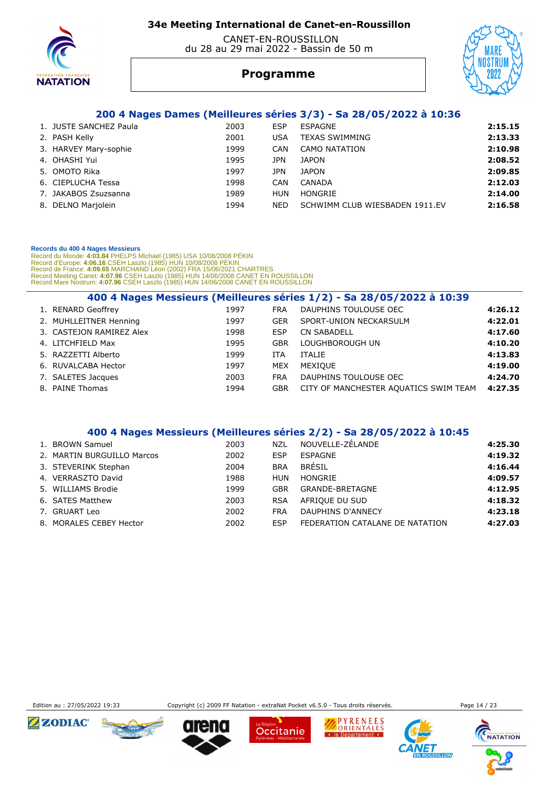

#### CANET-EN-ROUSSILLON du 28 au 29 mai 2022 - Bassin de 50 m



# **Programme**

#### **200 4 Nages Dames (Meilleures séries 3/3) - Sa 28/05/2022 à 10:36**

| 1. JUSTE SANCHEZ Paula | 2003 | ESP        | ESPAGNE                        | 2:15.15 |
|------------------------|------|------------|--------------------------------|---------|
| 2. PASH Kelly          | 2001 | USA        | <b>TEXAS SWIMMING</b>          | 2:13.33 |
| 3. HARVEY Mary-sophie  | 1999 | CAN        | CAMO NATATION                  | 2:10.98 |
| 4. OHASHI Yui          | 1995 | JPN        | JAPON                          | 2:08.52 |
| 5. OMOTO Rika          | 1997 | JPN        | <b>JAPON</b>                   | 2:09.85 |
| 6. CIEPLUCHA Tessa     | 1998 | CAN        | CANADA                         | 2:12.03 |
| 7. JAKABOS Zsuzsanna   | 1989 | HUN        | HONGRIE                        | 2:14.00 |
| 8. DELNO Marjolein     | 1994 | <b>NED</b> | SCHWIMM CLUB WIESBADEN 1911.EV | 2:16.58 |

#### **Records du 400 4 Nages Messieurs**

 Record du Monde: **4:03.84** PHELPS Michael (1985) USA 10/08/2008 PÉKIN Record d'Europe: **4:06.16** CSEH Laszlo (1985) HUN 10/08/2008 PÉKIN Record de France: 4:09.65 MARCHAND Léon (2002) FRA 15/06/2021 CHARTRES<br>Record Meeting Canet: 4:07.96 CSEH Laszlo (1985) HUN 14/06/2008 CANET EN ROUSSILLON<br>Record Mare Nostrum: 4:07.96 CSEH Laszlo (1985) HUN 14/06/2008 CANE

|                          |      |            | 400 4 Nages Messieurs (Meilleures séries 1/2) - Sa 28/05/2022 à 10:39 |         |
|--------------------------|------|------------|-----------------------------------------------------------------------|---------|
| 1. RENARD Geoffrey       | 1997 | <b>FRA</b> | DAUPHINS TOULOUSE OEC                                                 | 4:26.12 |
| 2. MUHLLEITNER Henning   | 1997 | <b>GER</b> | SPORT-UNION NECKARSULM                                                | 4:22.01 |
| 3. CASTEJON RAMIREZ Alex | 1998 | ESP        | <b>CN SABADELL</b>                                                    | 4:17.60 |
| 4. LITCHFIELD Max        | 1995 | GBR        | LOUGHBOROUGH UN                                                       | 4:10.20 |
| 5. RAZZETTI Alberto      | 1999 | ITA        | <b>ITALIE</b>                                                         | 4:13.83 |
| 6. RUVALCABA Hector      | 1997 | <b>MEX</b> | <b>MEXIOUE</b>                                                        | 4:19.00 |
| 7. SALETES Jacques       | 2003 | <b>FRA</b> | DAUPHINS TOULOUSE OEC                                                 | 4:24.70 |
| 8. PAINE Thomas          | 1994 | <b>GBR</b> | CITY OF MANCHESTER AQUATICS SWIM TEAM                                 | 4:27.35 |

#### **400 4 Nages Messieurs (Meilleures séries 2/2) - Sa 28/05/2022 à 10:45**

| 1. BROWN Samuel            | 2003 | NZL        | NOUVELLE-ZELANDE                | 4:25.30 |
|----------------------------|------|------------|---------------------------------|---------|
| 2. MARTIN BURGUILLO Marcos | 2002 | <b>ESP</b> | ESPAGNE                         | 4:19.32 |
| 3. STEVERINK Stephan       | 2004 | <b>BRA</b> | <b>BRÉSIL</b>                   | 4:16.44 |
| 4. VERRASZTO David         | 1988 | HUN        | HONGRIE                         | 4:09.57 |
| 5. WILLIAMS Brodie         | 1999 | GBR        | GRANDE-BRETAGNE                 | 4:12.95 |
| 6. SATES Matthew           | 2003 | <b>RSA</b> | AFRIOUE DU SUD                  | 4:18.32 |
| 7. GRUART Leo              | 2002 | <b>FRA</b> | DAUPHINS D'ANNECY               | 4:23.18 |
| 8. MORALES CEBEY Hector    | 2002 | ESP        | FEDERATION CATALANE DE NATATION | 4:27.03 |



Edition au : 27/05/2022 19:33 Copyright (c) 2009 FF Natation - extraNat Pocket v6.5.0 - Tous droits réservés. Page 14 / 23

Occitanie



PYRENEES

· le Département ·

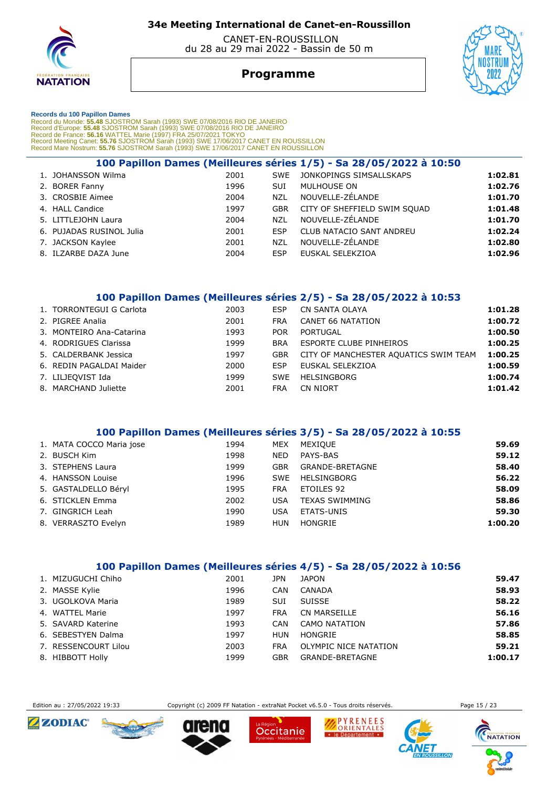

 CANET-EN-ROUSSILLON du 28 au 29 mai 2022 - Bassin de 50 m

# **Programme**



#### **Records du 100 Papillon Dames**

Record du Monde: 55.48 SJOSTROM Sarah (1993) SWE 07/08/2016 RIO DE JANEIRO<br>Record d'Europe: 55.48 SJOSTROM Sarah (1993) SWE 07/08/2016 RIO DE JANEIRO<br>Record de France: 56.16 WATTEL Marie (1997) FRA 25/07/2021 TOKYO<br>Record

|                          |      |            | 100 Papillon Dames (Meilleures séries 1/5) - Sa 28/05/2022 à 10:50 |         |
|--------------------------|------|------------|--------------------------------------------------------------------|---------|
| 1. JOHANSSON Wilma       | 2001 | <b>SWE</b> | JONKOPINGS SIMSALLSKAPS                                            | 1:02.81 |
| 2. BORER Fanny           | 1996 | <b>SUI</b> | MULHOUSE ON                                                        | 1:02.76 |
| 3. CROSBIE Aimee         | 2004 | <b>NZL</b> | NOUVELLE-ZÉLANDE                                                   | 1:01.70 |
| 4. HALL Candice          | 1997 | <b>GBR</b> | CITY OF SHEFFIELD SWIM SOUAD                                       | 1:01.48 |
| 5. LITTLEJOHN Laura      | 2004 | <b>NZL</b> | NOUVELLE-ZÉLANDE                                                   | 1:01.70 |
| 6. PUJADAS RUSINOL Julia | 2001 | <b>ESP</b> | CLUB NATACIO SANT ANDREU                                           | 1:02.24 |
| 7. JACKSON Kaylee        | 2001 | <b>NZL</b> | NOUVELLE-ZÉLANDE                                                   | 1:02.80 |
| 8. ILZARBE DAZA June     | 2004 | <b>ESP</b> | EUSKAL SELEKZIOA                                                   | 1:02.96 |

#### **100 Papillon Dames (Meilleures séries 2/5) - Sa 28/05/2022 à 10:53**

| 1. TORRONTEGUI G Carlota | 2003 | ESP        | CN SANTA OLAYA                        | 1:01.28 |
|--------------------------|------|------------|---------------------------------------|---------|
| 2. PIGREE Analia         | 2001 | <b>FRA</b> | <b>CANET 66 NATATION</b>              | 1:00.72 |
| 3. MONTEIRO Ana-Catarina | 1993 | POR.       | PORTUGAL                              | 1:00.50 |
| 4. RODRIGUES Clarissa    | 1999 | <b>BRA</b> | ESPORTE CLUBE PINHEIROS               | 1:00.25 |
| 5. CALDERBANK Jessica    | 1997 | GBR        | CITY OF MANCHESTER AQUATICS SWIM TEAM | 1:00.25 |
| 6. REDIN PAGALDAI Maider | 2000 | <b>ESP</b> | EUSKAL SELEKZIOA                      | 1:00.59 |
| 7. LILJEQVIST Ida        | 1999 | <b>SWF</b> | HELSINGBORG                           | 1:00.74 |
| 8. MARCHAND Juliette     | 2001 | <b>FRA</b> | CN NIORT                              | 1:01.42 |
|                          |      |            |                                       |         |

#### **100 Papillon Dames (Meilleures séries 3/5) - Sa 28/05/2022 à 10:55**

| 1. MATA COCCO Maria jose | 1994 | MEX        | MEXIQUE                | 59.69   |
|--------------------------|------|------------|------------------------|---------|
| 2. BUSCH Kim             | 1998 | <b>NED</b> | PAYS-BAS               | 59.12   |
| 3. STEPHENS Laura        | 1999 | <b>GBR</b> | <b>GRANDE-BRETAGNE</b> | 58.40   |
| 4. HANSSON Louise        | 1996 | SWE        | HELSINGBORG            | 56.22   |
| 5. GASTALDELLO Béryl     | 1995 | <b>FRA</b> | ETOILES 92             | 58.09   |
| 6. STICKLEN Emma         | 2002 | <b>USA</b> | <b>TEXAS SWIMMING</b>  | 58.86   |
| 7. GINGRICH Leah         | 1990 | <b>USA</b> | ETATS-UNIS             | 59.30   |
| 8. VERRASZTO Evelyn      | 1989 | HUN        | HONGRIE                | 1:00.20 |

#### **100 Papillon Dames (Meilleures séries 4/5) - Sa 28/05/2022 à 10:56**

| 1. MIZUGUCHI Chiho   | 2001 | JPN        | <b>JAPON</b>          | 59.47   |
|----------------------|------|------------|-----------------------|---------|
| 2. MASSE Kylie       | 1996 | <b>CAN</b> | CANADA                | 58.93   |
| 3. UGOLKOVA Maria    | 1989 | <b>SUI</b> | <b>SUISSE</b>         | 58.22   |
| 4. WATTEL Marie      | 1997 | <b>FRA</b> | <b>CN MARSEILLE</b>   | 56.16   |
| 5. SAVARD Katerine   | 1993 | CAN        | CAMO NATATION         | 57.86   |
| 6. SEBESTYEN Dalma   | 1997 | HUN        | HONGRIE               | 58.85   |
| 7. RESSENCOURT Lilou | 2003 | <b>FRA</b> | OLYMPIC NICE NATATION | 59.21   |
| 8. HIBBOTT Holly     | 1999 | GBR        | GRANDE-BRETAGNE       | 1:00.17 |

Edition au : 27/05/2022 19:33 Copyright (c) 2009 FF Natation - extraNat Pocket v6.5.0 - Tous droits réservés. Page 15 / 23













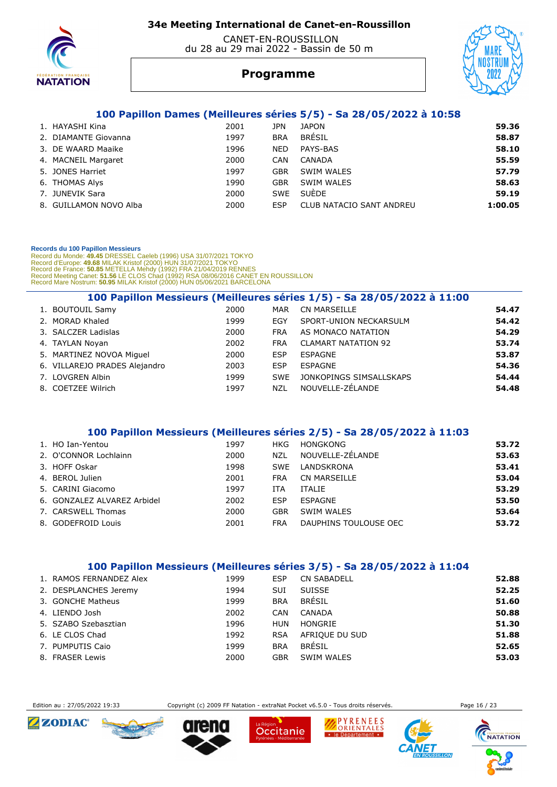

 CANET-EN-ROUSSILLON du 28 au 29 mai 2022 - Bassin de 50 m

# **Programme**



#### **100 Papillon Dames (Meilleures séries 5/5) - Sa 28/05/2022 à 10:58**

| 1. HAYASHI Kina        | 2001 | JPN        | <b>JAPON</b>             | 59.36   |
|------------------------|------|------------|--------------------------|---------|
| 2. DIAMANTE Giovanna   | 1997 | <b>BRA</b> | <b>BRÉSIL</b>            | 58.87   |
| 3. DE WAARD Maaike     | 1996 | <b>NED</b> | PAYS-BAS                 | 58.10   |
| 4. MACNEIL Margaret    | 2000 | <b>CAN</b> | CANADA                   | 55.59   |
| 5. JONES Harriet       | 1997 | GBR        | SWIM WALES               | 57.79   |
| 6. THOMAS Alys         | 1990 | GBR        | SWIM WALES               | 58.63   |
| 7. JUNEVIK Sara        | 2000 | <b>SWE</b> | <b>SUÈDE</b>             | 59.19   |
| 8. GUILLAMON NOVO Alba | 2000 | ESP        | CLUB NATACIO SANT ANDREU | 1:00.05 |

#### **Records du 100 Papillon Messieurs**

Record du Monde: 49.45 DRESSEL Caeleb (1996) USA 31/07/2021 TOKYO<br>Record d'Europe: 49.68 MILAK Kristof (2000) HUN 31/07/2021 TOKYO<br>Record de France: 50.85 METELLA Mehdy (1992) FRA 21/04/2019 RENNES<br>Record Meeting Canet: 51

|                               |      |            | 100 Papillon Messieurs (Meilleures séries 1/5) - Sa 28/05/2022 à 11:00 |       |
|-------------------------------|------|------------|------------------------------------------------------------------------|-------|
| 1. BOUTOUIL Samy              | 2000 | MAR        | <b>CN MARSEILLE</b>                                                    | 54.47 |
| 2. MORAD Khaled               | 1999 | EGY        | SPORT-UNION NECKARSULM                                                 | 54.42 |
| 3. SALCZER Ladislas           | 2000 | <b>FRA</b> | AS MONACO NATATION                                                     | 54.29 |
| 4. TAYLAN Noyan               | 2002 | <b>FRA</b> | <b>CLAMART NATATION 92</b>                                             | 53.74 |
| 5. MARTINEZ NOVOA Miquel      | 2000 | <b>ESP</b> | ESPAGNE                                                                | 53.87 |
| 6. VILLAREJO PRADES Alejandro | 2003 | <b>ESP</b> | ESPAGNE                                                                | 54.36 |
| 7. LOVGREN Albin              | 1999 | <b>SWE</b> | JONKOPINGS SIMSALLSKAPS                                                | 54.44 |
| 8. COETZEE Wilrich            | 1997 | <b>NZL</b> | NOUVELLE-ZÉLANDE                                                       | 54.48 |

#### **100 Papillon Messieurs (Meilleures séries 2/5) - Sa 28/05/2022 à 11:03**

| 1. HO Ian-Yentou            | 1997 | HKG        | HONGKONG              | 53.72 |
|-----------------------------|------|------------|-----------------------|-------|
| 2. O'CONNOR Lochlainn       | 2000 | <b>NZL</b> | NOUVELLE-ZÉLANDE      | 53.63 |
| 3. HOFF Oskar               | 1998 | <b>SWE</b> | LANDSKRONA            | 53.41 |
| 4. BEROL Julien             | 2001 | <b>FRA</b> | CN MARSEILLE          | 53.04 |
| 5. CARINI Giacomo           | 1997 | ITA        | <b>ITALIE</b>         | 53.29 |
| 6. GONZALEZ ALVAREZ Arbidel | 2002 | ESP        | ESPAGNE               | 53.50 |
| 7. CARSWELL Thomas          | 2000 | <b>GBR</b> | SWIM WALES            | 53.64 |
| 8. GODEFROID Louis          | 2001 | <b>FRA</b> | DAUPHINS TOULOUSE OEC | 53.72 |

#### **100 Papillon Messieurs (Meilleures séries 3/5) - Sa 28/05/2022 à 11:04**

| 1. RAMOS FERNANDEZ Alex | 1999 | ESP        | <b>CN SABADELL</b> | 52.88 |
|-------------------------|------|------------|--------------------|-------|
| 2. DESPLANCHES Jeremy   | 1994 | SUI        | <b>SUISSE</b>      | 52.25 |
| 3. GONCHE Matheus       | 1999 | <b>BRA</b> | BRÉSIL             | 51.60 |
| 4. LIENDO Josh          | 2002 | <b>CAN</b> | CANADA             | 50.88 |
| 5. SZABO Szebasztian    | 1996 | HUN        | HONGRIE            | 51.30 |
| 6. LE CLOS Chad         | 1992 | <b>RSA</b> | AFRIOUE DU SUD     | 51.88 |
| 7. PUMPUTIS Caio        | 1999 | <b>BRA</b> | BRÉSIL             | 52.65 |
| 8. FRASER Lewis         | 2000 | GBR        | SWIM WALES         | 53.03 |

Edition au : 27/05/2022 19:33 Copyright (c) 2009 FF Natation - extraNat Pocket v6.5.0 - Tous droits réservés. Page 16 / 23











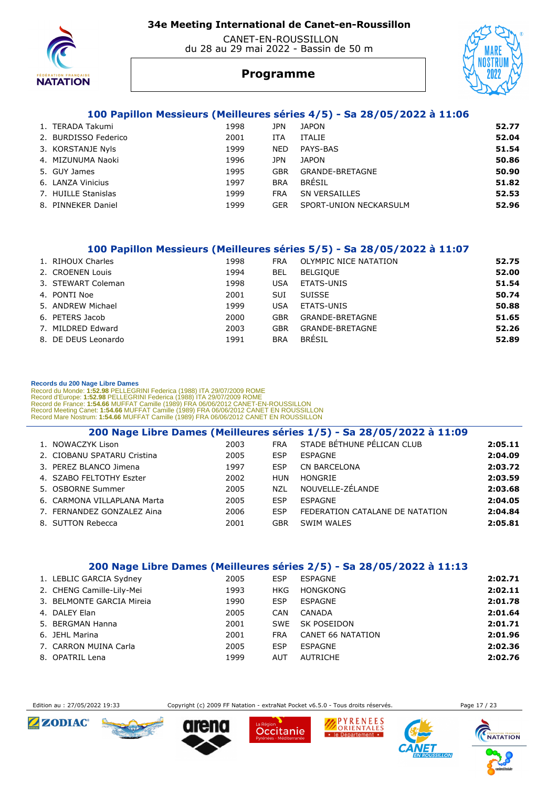

#### CANET-EN-ROUSSILLON du 28 au 29 mai 2022 - Bassin de 50 m



# **Programme**

#### **100 Papillon Messieurs (Meilleures séries 4/5) - Sa 28/05/2022 à 11:06**

| 1998                                                                                                                                                                 | JPN        | <b>JAPON</b>           | 52.77 |
|----------------------------------------------------------------------------------------------------------------------------------------------------------------------|------------|------------------------|-------|
| 2001                                                                                                                                                                 | ITA        | ITALIE                 | 52.04 |
| 1999                                                                                                                                                                 | <b>NED</b> | PAYS-BAS               | 51.54 |
| 1996                                                                                                                                                                 | JPN        | <b>JAPON</b>           | 50.86 |
| 1995                                                                                                                                                                 | GBR        | GRANDE-BRETAGNE        | 50.90 |
| 1997                                                                                                                                                                 | <b>BRA</b> | <b>BRÉSIL</b>          | 51.82 |
| 1999                                                                                                                                                                 | <b>FRA</b> | SN VERSAILLES          | 52.53 |
| 1999                                                                                                                                                                 | GER        | SPORT-UNION NECKARSULM | 52.96 |
| 1. TERADA Takumi<br>2. BURDISSO Federico<br>3. KORSTANJE Nyls<br>4. MIZUNUMA Naoki<br>5. GUY James<br>6. LANZA Vinicius<br>7. HUILLE Stanislas<br>8. PINNEKER Daniel |            |                        |       |

#### **100 Papillon Messieurs (Meilleures séries 5/5) - Sa 28/05/2022 à 11:07**

| 1. RIHOUX Charles   | 1998 | FRA        | OLYMPIC NICE NATATION | 52.75 |
|---------------------|------|------------|-----------------------|-------|
| 2. CROENEN Louis    | 1994 | BEL        | <b>BELGIQUE</b>       | 52.00 |
| 3. STEWART Coleman  | 1998 | USA        | ETATS-UNIS            | 51.54 |
| 4. PONTI Noe        | 2001 | SUI        | SUISSE                | 50.74 |
| 5. ANDREW Michael   | 1999 | USA        | ETATS-UNIS            | 50.88 |
| 6. PETERS Jacob     | 2000 | GBR        | GRANDE-BRETAGNE       | 51.65 |
| 7. MILDRED Edward   | 2003 | GBR        | GRANDE-BRETAGNE       | 52.26 |
| 8. DE DEUS Leonardo | 1991 | <b>BRA</b> | <b>BRÉSIL</b>         | 52.89 |
|                     |      |            |                       |       |

#### **Records du 200 Nage Libre Dames**

Record du Monde: 1:52.98 PELLEGRINI Federica (1988) ITA 29/07/2009 ROME<br>Record d'Europe: 1:52.98 PELLEGRINI Federica (1988) ITA 29/07/2009 ROME<br>Record de France: 1:54.66 MUFFAT Camille (1989) FRA 06/06/2012 CANET EN ROUSSI

|                             |      |            | 200 Nage Libre Dames (Meilleures séries 1/5) - Sa 28/05/2022 à 11:09 |         |
|-----------------------------|------|------------|----------------------------------------------------------------------|---------|
| 1. NOWACZYK Lison           | 2003 | <b>FRA</b> | STADE BÉTHUNE PÉLICAN CLUB                                           | 2:05.11 |
| 2. CIOBANU SPATARU Cristina | 2005 | ESP        | ESPAGNE                                                              | 2:04.09 |
| 3. PEREZ BLANCO Jimena      | 1997 | ESP        | <b>CN BARCELONA</b>                                                  | 2:03.72 |
| 4. SZABO FELTOTHY Eszter    | 2002 | HUN        | HONGRIE                                                              | 2:03.59 |
| 5. OSBORNE Summer           | 2005 | NZL        | NOUVELLE-ZÉLANDE                                                     | 2:03.68 |
| 6. CARMONA VILLAPLANA Marta | 2005 | ESP        | <b>ESPAGNE</b>                                                       | 2:04.05 |
| 7. FERNANDEZ GONZALEZ Aina  | 2006 | ESP        | FEDERATION CATALANE DE NATATION                                      | 2:04.84 |
| 8. SUTTON Rebecca           | 2001 | GBR        | <b>SWIM WALES</b>                                                    | 2:05.81 |

#### **200 Nage Libre Dames (Meilleures séries 2/5) - Sa 28/05/2022 à 11:13**

| 1. LEBLIC GARCIA Sydney   | 2005 | <b>ESP</b> | ESPAGNE                  | 2:02.71 |
|---------------------------|------|------------|--------------------------|---------|
| 2. CHENG Camille-Lily-Mei | 1993 | HKG        | <b>HONGKONG</b>          | 2:02.11 |
| 3. BELMONTE GARCIA Mireia | 1990 | ESP        | ESPAGNE                  | 2:01.78 |
| 4. DALEY Elan             | 2005 | <b>CAN</b> | CANADA                   | 2:01.64 |
| 5. BERGMAN Hanna          | 2001 | SWE        | SK POSEIDON              | 2:01.71 |
| 6. JEHL Marina            | 2001 | <b>FRA</b> | <b>CANET 66 NATATION</b> | 2:01.96 |
| 7. CARRON MUINA Carla     | 2005 | ESP        | ESPAGNE                  | 2:02.36 |
| 8. OPATRIL Lena           | 1999 | <b>AUT</b> | AUTRICHE                 | 2:02.76 |

Edition au : 27/05/2022 19:33 Copyright (c) 2009 FF Natation - extraNat Pocket v6.5.0 - Tous droits réservés. Page 17 / 23











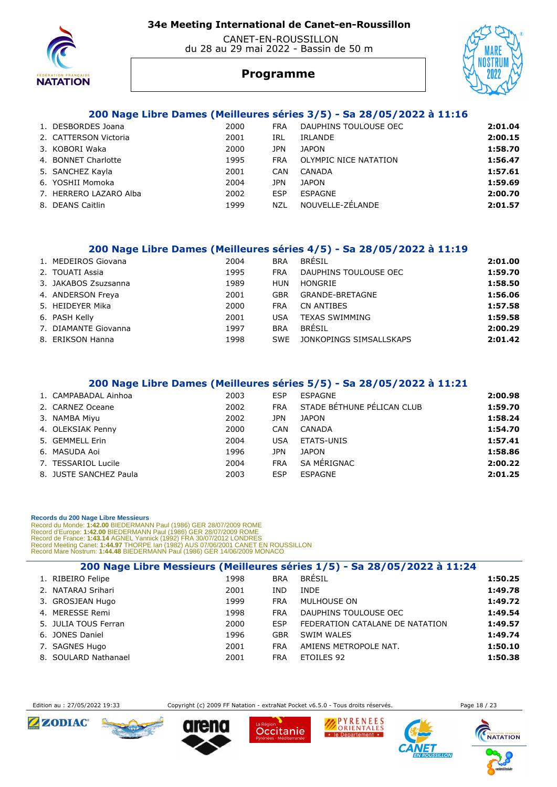

#### CANET-EN-ROUSSILLON du 28 au 29 mai 2022 - Bassin de 50 m



### **Programme**

#### **200 Nage Libre Dames (Meilleures séries 3/5) - Sa 28/05/2022 à 11:16**

| 1. DESBORDES Joana     | 2000 | <b>FRA</b> | DAUPHINS TOULOUSE OEC | 2:01.04 |
|------------------------|------|------------|-----------------------|---------|
| 2. CATTERSON Victoria  | 2001 | IRL        | IRLANDE               | 2:00.15 |
| 3. KOBORI Waka         | 2000 | JPN        | <b>JAPON</b>          | 1:58.70 |
| 4. BONNET Charlotte    | 1995 | <b>FRA</b> | OLYMPIC NICE NATATION | 1:56.47 |
| 5. SANCHEZ Kayla       | 2001 | CAN        | CANADA                | 1:57.61 |
| 6. YOSHII Momoka       | 2004 | JPN        | <b>JAPON</b>          | 1:59.69 |
| 7. HERRERO LAZARO Alba | 2002 | <b>ESP</b> | ESPAGNE               | 2:00.70 |
| 8. DEANS Caitlin       | 1999 | NZL        | NOUVELLE-ZÉLANDE      | 2:01.57 |

#### **200 Nage Libre Dames (Meilleures séries 4/5) - Sa 28/05/2022 à 11:19**

| 1. MEDEIROS Giovana  | 2004 | <b>BRA</b> | BRÉSIL                  | 2:01.00 |
|----------------------|------|------------|-------------------------|---------|
| 2. TOUATI Assia      | 1995 | FRA        | DAUPHINS TOULOUSE OEC   | 1:59.70 |
| 3. JAKABOS Zsuzsanna | 1989 | HUN        | HONGRIE                 | 1:58.50 |
| 4. ANDERSON Freya    | 2001 | GBR        | GRANDE-BRETAGNE         | 1:56.06 |
| 5. HEIDEYER Mika     | 2000 | <b>FRA</b> | CN ANTIBES              | 1:57.58 |
| 6. PASH Kelly        | 2001 | USA        | <b>TEXAS SWIMMING</b>   | 1:59.58 |
| 7. DIAMANTE Giovanna | 1997 | <b>BRA</b> | BRÉSIL                  | 2:00.29 |
| 8. ERIKSON Hanna     | 1998 | <b>SWF</b> | JONKOPINGS SIMSALLSKAPS | 2:01.42 |

#### **200 Nage Libre Dames (Meilleures séries 5/5) - Sa 28/05/2022 à 11:21**

| 1. CAMPABADAL Ainhoa   | 2003 | <b>ESP</b> | ESPAGNE                    | 2:00.98 |
|------------------------|------|------------|----------------------------|---------|
| 2. CARNEZ Oceane       | 2002 | <b>FRA</b> | STADE BÉTHUNE PÉLICAN CLUB | 1:59.70 |
| 3. NAMBA Miyu          | 2002 | JPN        | <b>JAPON</b>               | 1:58.24 |
| 4. OLEKSIAK Penny      | 2000 | CAN        | CANADA                     | 1:54.70 |
| 5. GEMMELL Erin        | 2004 | <b>USA</b> | <b>ETATS-UNIS</b>          | 1:57.41 |
| 6. MASUDA Aoi          | 1996 | JPN        | <b>JAPON</b>               | 1:58.86 |
| 7. TESSARIOL Lucile    | 2004 | <b>FRA</b> | SA MÉRIGNAC                | 2:00.22 |
| 8. JUSTE SANCHEZ Paula | 2003 | <b>ESP</b> | ESPAGNE                    | 2:01.25 |

#### **Records du 200 Nage Libre Messieurs**

Record du Monde: 1**:42.00** BIEDERMANN Paul (1986) GER 28/07/2009 ROME<br>Record d'Europe: 1**:42.00** BIEDERMANN Paul (1986) GER 28/07/2009 ROME<br>Record de France: 1**:43.14 AGNEL Yannick (1992) FRA 30/07/2012 LONDRES**<br>Record Mee

|                      |      |            | 200 Nage Libre Messieurs (Meilleures séries 1/5) - Sa 28/05/2022 à 11:24 |         |
|----------------------|------|------------|--------------------------------------------------------------------------|---------|
| 1. RIBEIRO Felipe    | 1998 | <b>BRA</b> | <b>BRÉSIL</b>                                                            | 1:50.25 |
| 2. NATARAJ Srihari   | 2001 | IND        | <b>INDE</b>                                                              | 1:49.78 |
| 3. GROSJEAN Hugo     | 1999 | <b>FRA</b> | MULHOUSE ON                                                              | 1:49.72 |
| 4. MERESSE Remi      | 1998 | <b>FRA</b> | DAUPHINS TOULOUSE OEC                                                    | 1:49.54 |
| 5. JULIA TOUS Ferran | 2000 | <b>ESP</b> | FEDERATION CATALANE DE NATATION                                          | 1:49.57 |
| 6. JONES Daniel      | 1996 | <b>GBR</b> | SWIM WALES                                                               | 1:49.74 |
| 7. SAGNES Hugo       | 2001 | <b>FRA</b> | AMIENS METROPOLE NAT.                                                    | 1:50.10 |
| 8. SOULARD Nathanael | 2001 | <b>FRA</b> | ETOILES 92                                                               | 1:50.38 |



Edition au : 27/05/2022 19:33 Copyright (c) 2009 FF Natation - extraNat Pocket v6.5.0 - Tous droits réservés. Page 18 / 23

Occitanie

PYRENEES

· le Département ·



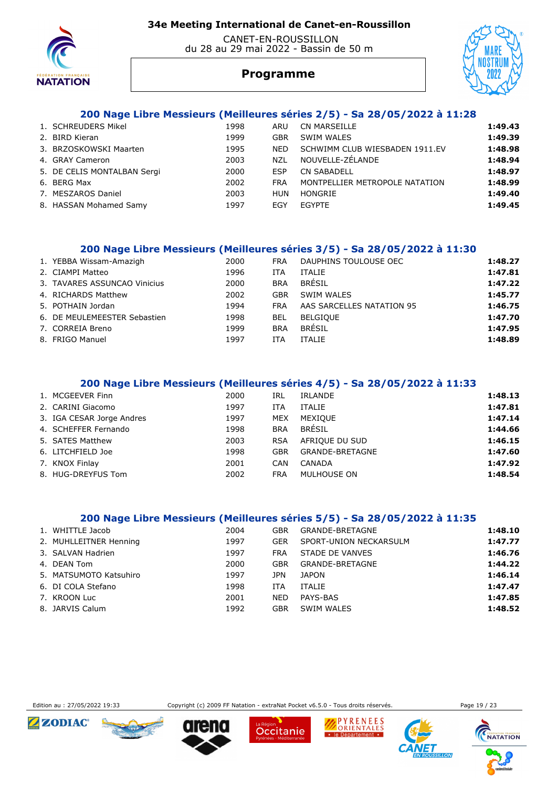

#### CANET-EN-ROUSSILLON du 28 au 29 mai 2022 - Bassin de 50 m



# **Programme**

#### **200 Nage Libre Messieurs (Meilleures séries 2/5) - Sa 28/05/2022 à 11:28**

| 1. SCHREUDERS Mikel         | 1998 | ARU        | <b>CN MARSEILLE</b>            | 1:49.43 |
|-----------------------------|------|------------|--------------------------------|---------|
| 2. BIRD Kieran              | 1999 | GBR        | SWIM WALES                     | 1:49.39 |
| 3. BRZOSKOWSKI Maarten      | 1995 | NFD.       | SCHWIMM CLUB WIESBADEN 1911.EV | 1:48.98 |
| 4. GRAY Cameron             | 2003 | <b>NZL</b> | NOUVELLE-ZÉLANDE               | 1:48.94 |
| 5. DE CELIS MONTALBAN Sergi | 2000 | ESP        | <b>CN SABADELL</b>             | 1:48.97 |
| 6. BERG Max                 | 2002 | <b>FRA</b> | MONTPELLIER METROPOLE NATATION | 1:48.99 |
| 7. MESZAROS Daniel          | 2003 | HUN        | HONGRIE                        | 1:49.40 |
| 8. HASSAN Mohamed Samy      | 1997 | EGY        | <b>FGYPTF</b>                  | 1:49.45 |

#### **200 Nage Libre Messieurs (Meilleures séries 3/5) - Sa 28/05/2022 à 11:30**

| 1. YEBBA Wissam-Amazigh      | 2000 | <b>FRA</b> | DAUPHINS TOULOUSE OEC     | 1:48.27 |
|------------------------------|------|------------|---------------------------|---------|
| 2. CIAMPI Matteo             | 1996 | ITA        | <b>ITALIE</b>             | 1:47.81 |
| 3. TAVARES ASSUNCAO Vinicius | 2000 | <b>BRA</b> | <b>BRÉSIL</b>             | 1:47.22 |
| 4. RICHARDS Matthew          | 2002 | <b>GBR</b> | SWIM WALES                | 1:45.77 |
| 5. POTHAIN Jordan            | 1994 | <b>FRA</b> | AAS SARCELLES NATATION 95 | 1:46.75 |
| 6. DE MEULEMEESTER Sebastien | 1998 | BEL        | <b>BELGIOUE</b>           | 1:47.70 |
| 7. CORREIA Breno             | 1999 | <b>BRA</b> | BRÉSIL                    | 1:47.95 |
| 8. FRIGO Manuel              | 1997 | ITA        | <b>ITALIE</b>             | 1:48.89 |
|                              |      |            |                           |         |

#### **200 Nage Libre Messieurs (Meilleures séries 4/5) - Sa 28/05/2022 à 11:33**

| 1. MCGEEVER Finn          | 2000 | IRL        | IRLANDE                | 1:48.13 |
|---------------------------|------|------------|------------------------|---------|
| 2. CARINI Giacomo         | 1997 | <b>ITA</b> | <b>ITALIE</b>          | 1:47.81 |
| 3. IGA CESAR Jorge Andres | 1997 | MEX        | <b>MEXIOUE</b>         | 1:47.14 |
| 4. SCHEFFER Fernando      | 1998 | <b>BRA</b> | BRÉSIL                 | 1:44.66 |
| 5. SATES Matthew          | 2003 | <b>RSA</b> | AFRIOUE DU SUD         | 1:46.15 |
| 6. LITCHFIELD Joe         | 1998 | GBR        | <b>GRANDE-BRETAGNE</b> | 1:47.60 |
| 7. KNOX Finlay            | 2001 | <b>CAN</b> | CANADA                 | 1:47.92 |
| 8. HUG-DREYFUS Tom        | 2002 | <b>FRA</b> | MULHOUSE ON            | 1:48.54 |

#### **200 Nage Libre Messieurs (Meilleures séries 5/5) - Sa 28/05/2022 à 11:35**

| 1. WHITTLE Jacob       | 2004 | GBR        | GRANDE-BRETAGNE        | 1:48.10 |
|------------------------|------|------------|------------------------|---------|
| 2. MUHLLEITNER Henning | 1997 | <b>GER</b> | SPORT-UNION NECKARSULM | 1:47.77 |
| 3. SALVAN Hadrien      | 1997 | FRA        | STADE DE VANVES        | 1:46.76 |
| 4. DEAN Tom            | 2000 | GBR        | GRANDE-BRETAGNE        | 1:44.22 |
| 5. MATSUMOTO Katsuhiro | 1997 | JPN        | <b>JAPON</b>           | 1:46.14 |
| 6. DI COLA Stefano     | 1998 | ITA        | <b>ITALIE</b>          | 1:47.47 |
| 7. KROON Luc           | 2001 | <b>NED</b> | PAYS-BAS               | 1:47.85 |
| 8. JARVIS Calum        | 1992 | GBR        | SWIM WALES             | 1:48.52 |



Edition au : 27/05/2022 19:33 Copyright (c) 2009 FF Natation - extraNat Pocket v6.5.0 - Tous droits réservés. Page 19 / 23

Occitanie

PYRENEES

le Département





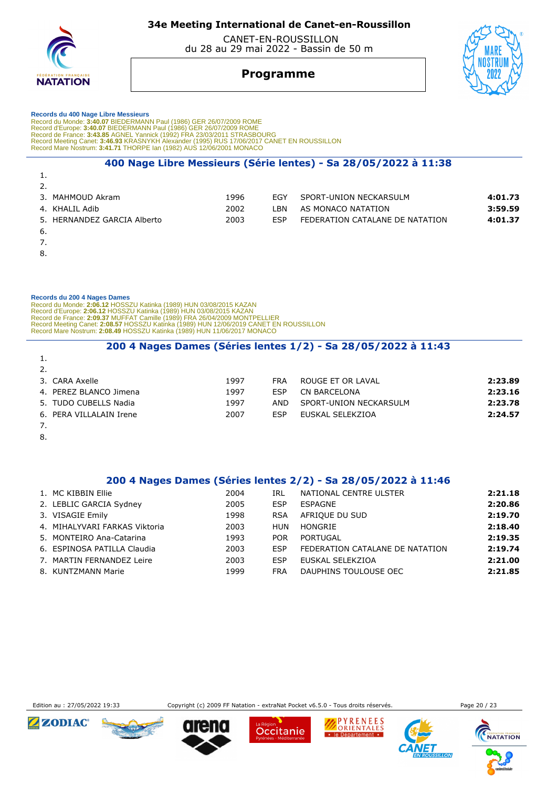

 CANET-EN-ROUSSILLON du 28 au 29 mai 2022 - Bassin de 50 m



### **Programme**

# **Records du 400 Nage Libre Messieurs**  Record du Monde: 3:40.07 BIEDERMANN Paul (1986) GER 26/07/2009 ROME<br>Record d'Europe: 3:40.07 BIEDERMANN Paul (1986) GER 26/07/2009 ROME<br>Record de France: 3:43.85 AGNEL Yannick (1992) FRA 23/03/2011 STRASBOURG<br>Record Meetin

#### **400 Nage Libre Messieurs (Série lentes) - Sa 28/05/2022 à 11:38**

| <b>.</b>                    |      |            |                                 |         |
|-----------------------------|------|------------|---------------------------------|---------|
| 2.                          |      |            |                                 |         |
| 3. MAHMOUD Akram            | 1996 | <b>FGY</b> | SPORT-UNION NECKARSULM          | 4:01.73 |
| 4. KHALIL Adib              | 2002 | - BN       | AS MONACO NATATION              | 3:59.59 |
| 5. HERNANDEZ GARCIA Alberto | 2003 | <b>FSP</b> | FEDERATION CATALANE DE NATATION | 4:01.37 |
| 6.                          |      |            |                                 |         |
|                             |      |            |                                 |         |

7.

1.

8.

#### **Records du 200 4 Nages Dames**

Record du Monde: 2:06.12 HOSSZU Katinka (1989) HUN 03/08/2015 KAZAN<br>Record d'Europe: 2:06.12 HOSSZU Katinka (1989) HUN 03/08/2015 KAZAN<br>Record de France: 2:09.37 MUFFAT Camille (1989) FRA 26/04/2009 MONTPELLIER<br>Record Meet

#### **200 4 Nages Dames (Séries lentes 1/2) - Sa 28/05/2022 à 11:43**

| 1.                      |      |      |                        |         |
|-------------------------|------|------|------------------------|---------|
| 2.                      |      |      |                        |         |
| 3.CARA Axelle           | 1997 | FRA  | ROUGE ET OR LAVAL      | 2:23.89 |
| 4. PEREZ BLANCO Jimena  | 1997 | ESP  | CN BARCELONA           | 2:23.16 |
| 5. TUDO CUBELLS Nadia   | 1997 | AND. | SPORT-UNION NECKARSULM | 2:23.78 |
| 6. PERA VILLALAIN Irene | 2007 | ESP  | EUSKAL SELEKZIOA       | 2:24.57 |
|                         |      |      |                        |         |

- 8.
- 

#### **200 4 Nages Dames (Séries lentes 2/2) - Sa 28/05/2022 à 11:46**

| 1. MC KIBBIN Ellie            | 2004 | IRL        | NATIONAL CENTRE ULSTER          | 2:21.18 |
|-------------------------------|------|------------|---------------------------------|---------|
| 2. LEBLIC GARCIA Sydney       | 2005 | <b>ESP</b> | ESPAGNE                         | 2:20.86 |
| 3. VISAGIE Emily              | 1998 | <b>RSA</b> | AFRIQUE DU SUD                  | 2:19.70 |
| 4. MIHALYVARI FARKAS Viktoria | 2003 | HUN        | HONGRIE                         | 2:18.40 |
| 5. MONTEIRO Ana-Catarina      | 1993 | <b>POR</b> | PORTUGAL                        | 2:19.35 |
| 6. ESPINOSA PATILLA Claudia   | 2003 | <b>ESP</b> | FEDERATION CATALANE DE NATATION | 2:19.74 |
| 7. MARTIN FERNANDEZ Leire     | 2003 | <b>ESP</b> | EUSKAL SELEKZIOA                | 2:21.00 |
| 8. KUNTZMANN Marie            | 1999 | <b>FRA</b> | DAUPHINS TOULOUSE OEC           | 2:21.85 |
|                               |      |            |                                 |         |



Edition au : 27/05/2022 19:33 Copyright (c) 2009 FF Natation - extraNat Pocket v6.5.0 - Tous droits réservés. Page 20 / 23

Occitanie



 $IIIOM$ 

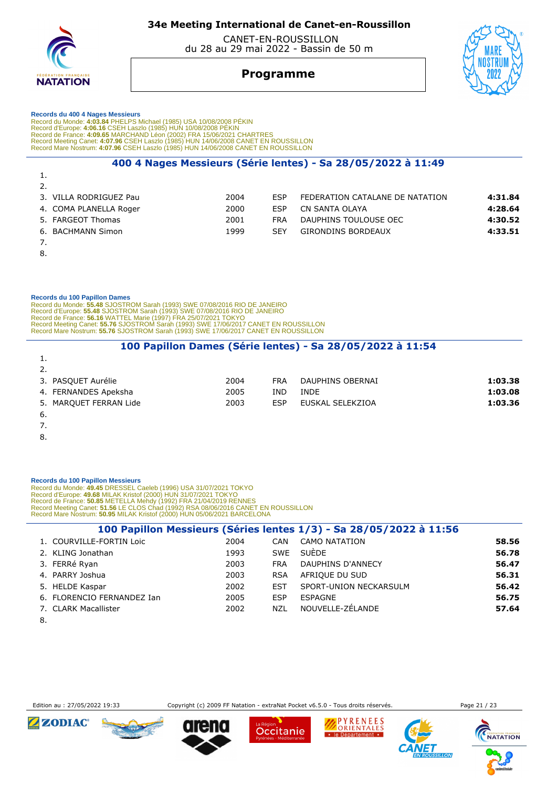

 CANET-EN-ROUSSILLON du 28 au 29 mai 2022 - Bassin de 50 m



# **Programme**

#### **Records du 400 4 Nages Messieurs**

Record du Monde: 4:03.84 PHELPS Michael (1985) USA 10/08/2008 PÉKIN<br>Record d'Europe: 4:06.16 CSEH Laszlo (1985) HUN 10/08/2008 PÉKIN<br>Record de France: 4:09.65 MARCHAND Léon (2002) FRA 15/06/2021 CHARTRES<br>Record Meeting Can

#### **400 4 Nages Messieurs (Série lentes) - Sa 28/05/2022 à 11:49**

| . .                    |      |            |                                 |         |
|------------------------|------|------------|---------------------------------|---------|
| 2.                     |      |            |                                 |         |
| 3. VILLA RODRIGUEZ Pau | 2004 | <b>FSP</b> | FEDERATION CATALANE DE NATATION | 4:31.84 |
| 4. COMA PLANELLA Roger | 2000 | <b>FSP</b> | CN SANTA OLAYA                  | 4:28.64 |
| 5. FARGEOT Thomas      | 2001 | <b>FRA</b> | DAUPHINS TOULOUSE OEC           | 4:30.52 |
| 6. BACHMANN Simon      | 1999 | <b>SFY</b> | GIRONDINS BORDEAUX              | 4:33.51 |
|                        |      |            |                                 |         |

8.

1.

#### **Records du 100 Papillon Dames**

 Record du Monde: **55.48** SJOSTROM Sarah (1993) SWE 07/08/2016 RIO DE JANEIRO Record d'Europe: **55.48** SJOSTROM Sarah (1993) SWE 07/08/2016 RIO DE JANEIRO<br>Record de France: **56.16 WATTEL M**arie (1997) FRA 25/07/2021 TOKYO<br>Record Meeting Canet: **55.76** SJOSTROM Sarah (1993) SWE 17/06/2017 CANET EN RO Record Mare Nostrum: **55.76** SJOSTROM Sarah (1993) SWE 17/06/2017 CANET EN ROUSSILLON

#### **100 Papillon Dames (Série lentes) - Sa 28/05/2022 à 11:54**

| 2004 | <b>FRA</b> | DAUPHINS OBERNAI | 1:03.38 |
|------|------------|------------------|---------|
| 2005 | IND        | INDE             | 1:03.08 |
| 2003 | ESP        | EUSKAL SELEKZIOA | 1:03.36 |
|      |            |                  |         |
|      |            |                  |         |

7.

1.

8.

#### **Records du 100 Papillon Messieurs**

Record du Monde: 49.45 DRESSEL Caeleb (1996) USA 31/07/2021 TOKYO<br>Record d'Europe: 49.68 MILAK Kristof (2000) HUN 31/07/2021 TOKYO<br>Record de France: 50.85 METELLA Mehdy (1992) FRA 21/04/2019 RENNES<br>Record Meeting Canet: 51

|                            |      |            | 100 Papillon Messieurs (Séries lentes 1/3) - Sa 28/05/2022 à 11:56 |       |
|----------------------------|------|------------|--------------------------------------------------------------------|-------|
| 1. COURVILLE-FORTIN Loic   | 2004 | CAN        | <b>CAMO NATATION</b>                                               | 58.56 |
| 2. KLING Jonathan          | 1993 | SWE        | SUÈDE                                                              | 56.78 |
| 3. FERRé Ryan              | 2003 | <b>FRA</b> | DAUPHINS D'ANNECY                                                  | 56.47 |
| 4. PARRY Joshua            | 2003 | <b>RSA</b> | AFRIOUE DU SUD                                                     | 56.31 |
| 5. HELDE Kaspar            | 2002 | <b>EST</b> | SPORT-UNION NECKARSULM                                             | 56.42 |
| 6. FLORENCIO FERNANDEZ Ian | 2005 | <b>ESP</b> | ESPAGNE                                                            | 56.75 |
| 7. CLARK Macallister       | 2002 | NZL        | NOUVELLE-ZÉLANDE                                                   | 57.64 |

8.





Occitanie

PYRENEES ORIENTALES

· le Département ·

**SILLON** 

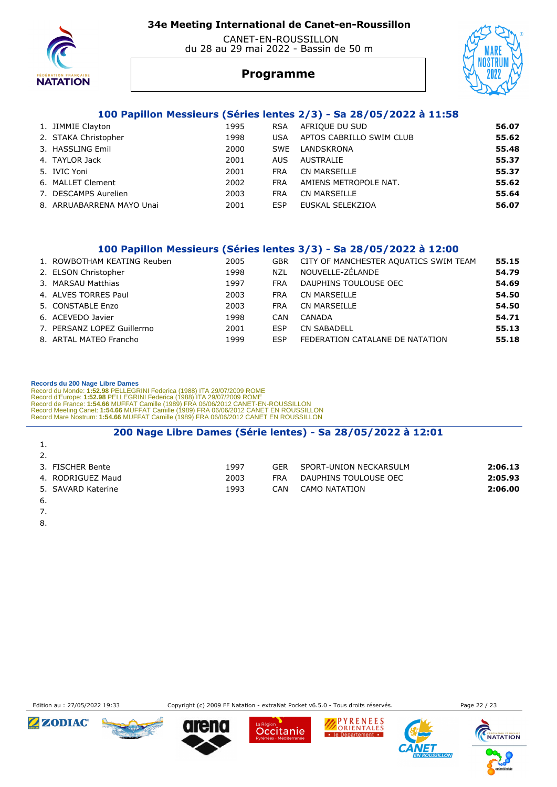

#### CANET-EN-ROUSSILLON du 28 au 29 mai 2022 - Bassin de 50 m



# **Programme**

#### **100 Papillon Messieurs (Séries lentes 2/3) - Sa 28/05/2022 à 11:58**

| 1. JIMMIE Clayton         | 1995 | <b>RSA</b> | AFRIQUE DU SUD           | 56.07 |
|---------------------------|------|------------|--------------------------|-------|
| 2. STAKA Christopher      | 1998 | <b>USA</b> | APTOS CABRILLO SWIM CLUB | 55.62 |
| 3. HASSLING Emil          | 2000 | SWE        | LANDSKRONA               | 55.48 |
| 4. TAYLOR Jack            | 2001 | AUS.       | AUSTRALIE                | 55.37 |
| 5. IVIC Yoni              | 2001 | <b>FRA</b> | CN MARSEILLE             | 55.37 |
| 6. MALLET Clement         | 2002 | <b>FRA</b> | AMIENS METROPOLE NAT.    | 55.62 |
| 7. DESCAMPS Aurelien      | 2003 | <b>FRA</b> | CN MARSEILLE             | 55.64 |
| 8. ARRUABARRENA MAYO Unai | 2001 | <b>ESP</b> | EUSKAL SELEKZIOA         | 56.07 |

#### **100 Papillon Messieurs (Séries lentes 3/3) - Sa 28/05/2022 à 12:00**

| 1. ROWBOTHAM KEATING Reuben | 2005 | <b>GBR</b> | CITY OF MANCHESTER AQUATICS SWIM TEAM | 55.15 |
|-----------------------------|------|------------|---------------------------------------|-------|
| 2. ELSON Christopher        | 1998 | <b>NZL</b> | NOUVELLE-ZÉLANDE                      | 54.79 |
| 3. MARSAU Matthias          | 1997 | <b>FRA</b> | DAUPHINS TOULOUSE OEC                 | 54.69 |
| 4. ALVES TORRES Paul        | 2003 | <b>FRA</b> | <b>CN MARSEILLE</b>                   | 54.50 |
| 5. CONSTABLE Enzo           | 2003 | <b>FRA</b> | CN MARSEILLE                          | 54.50 |
| 6. ACEVEDO Javier           | 1998 | CAN        | CANADA                                | 54.71 |
| 7. PERSANZ LOPEZ Guillermo  | 2001 | ESP        | <b>CN SABADELL</b>                    | 55.13 |
| 8. ARTAL MATEO Francho      | 1999 | <b>ESP</b> | FEDERATION CATALANE DE NATATION       | 55.18 |

#### **Records du 200 Nage Libre Dames**

Record du Monde: 1:52.98 PELLEGRINI Federica (1988) ITA 29/07/2009 ROME<br>Record d'Europe: 1:52.98 PELLEGRINI Federica (1988) ITA 29/07/2009 ROME<br>Record de France: 1:54.66 MUFFAT Camille (1989) FRA 06/06/2012 CANET EN ROUSSI

#### **200 Nage Libre Dames (Série lentes) - Sa 28/05/2022 à 12:01**

| <b>.</b>           |      |     |                        |         |
|--------------------|------|-----|------------------------|---------|
| 2.                 |      |     |                        |         |
| 3. FISCHER Bente   | 1997 | GFR | SPORT-UNION NECKARSULM | 2:06.13 |
| 4. RODRIGUEZ Maud  | 2003 | FRA | DAUPHINS TOULOUSE OEC  | 2:05.93 |
| 5. SAVARD Katerine | 1993 | CAN | CAMO NATATION          | 2:06.00 |
| 6.                 |      |     |                        |         |

- 7.
- 8.

Edition au : 27/05/2022 19:33 Copyright (c) 2009 FF Natation - extraNat Pocket v6.5.0 - Tous droits réservés. Page 22 / 23